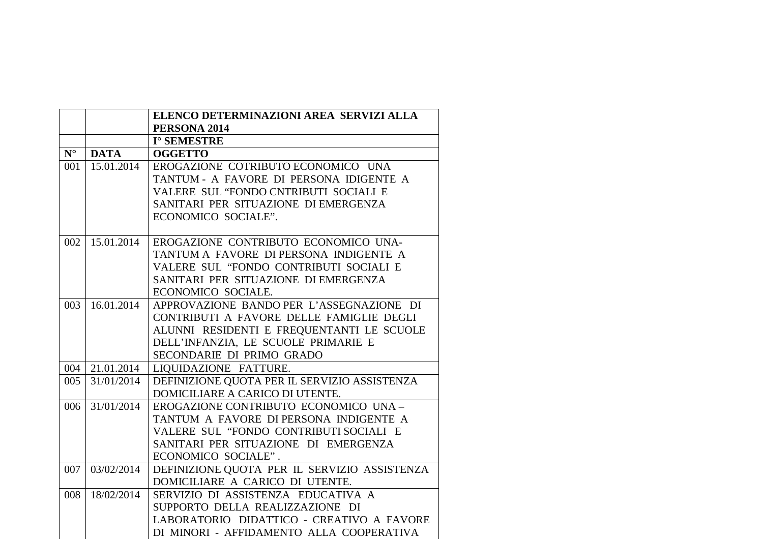|             |                | ELENCO DETERMINAZIONI AREA SERVIZI ALLA<br>PERSONA 2014 |
|-------------|----------------|---------------------------------------------------------|
|             |                | I° SEMESTRE                                             |
| $N^{\circ}$ | <b>DATA</b>    | <b>OGGETTO</b>                                          |
| 001         | 15.01.2014     | EROGAZIONE COTRIBUTO ECONOMICO UNA                      |
|             |                | TANTUM - A FAVORE DI PERSONA IDIGENTE A                 |
|             |                | VALERE SUL "FONDO CNTRIBUTI SOCIALI E                   |
|             |                | SANITARI PER SITUAZIONE DI EMERGENZA                    |
|             |                | ECONOMICO SOCIALE".                                     |
|             |                |                                                         |
| 002         | 15.01.2014     | EROGAZIONE CONTRIBUTO ECONOMICO UNA-                    |
|             |                | TANTUM A FAVORE DI PERSONA INDIGENTE A                  |
|             |                | VALERE SUL "FONDO CONTRIBUTI SOCIALI E                  |
|             |                | SANITARI PER SITUAZIONE DI EMERGENZA                    |
|             |                | ECONOMICO SOCIALE.                                      |
| 003         | 16.01.2014     | APPROVAZIONE BANDO PER L'ASSEGNAZIONE DI                |
|             |                | CONTRIBUTI A FAVORE DELLE FAMIGLIE DEGLI                |
|             |                | ALUNNI RESIDENTI E FREQUENTANTI LE SCUOLE               |
|             |                | DELL'INFANZIA, LE SCUOLE PRIMARIE E                     |
|             |                | SECONDARIE DI PRIMO GRADO                               |
|             | 004 21.01.2014 | LIQUIDAZIONE FATTURE.                                   |
| 005         | 31/01/2014     | DEFINIZIONE QUOTA PER IL SERVIZIO ASSISTENZA            |
|             |                | DOMICILIARE A CARICO DI UTENTE.                         |
| 006         | 31/01/2014     | EROGAZIONE CONTRIBUTO ECONOMICO UNA-                    |
|             |                | TANTUM A FAVORE DI PERSONA INDIGENTE A                  |
|             |                | VALERE SUL "FONDO CONTRIBUTI SOCIALI E                  |
|             |                | SANITARI PER SITUAZIONE DI EMERGENZA                    |
|             |                | ECONOMICO SOCIALE".                                     |
| 007         | 03/02/2014     | DEFINIZIONE QUOTA PER IL SERVIZIO ASSISTENZA            |
|             |                | DOMICILIARE A CARICO DI UTENTE.                         |
| 008         | 18/02/2014     | SERVIZIO DI ASSISTENZA EDUCATIVA A                      |
|             |                | SUPPORTO DELLA REALIZZAZIONE DI                         |
|             |                | LABORATORIO DIDATTICO - CREATIVO A FAVORE               |
|             |                | DI MINORI - AFFIDAMENTO ALLA COOPERATIVA                |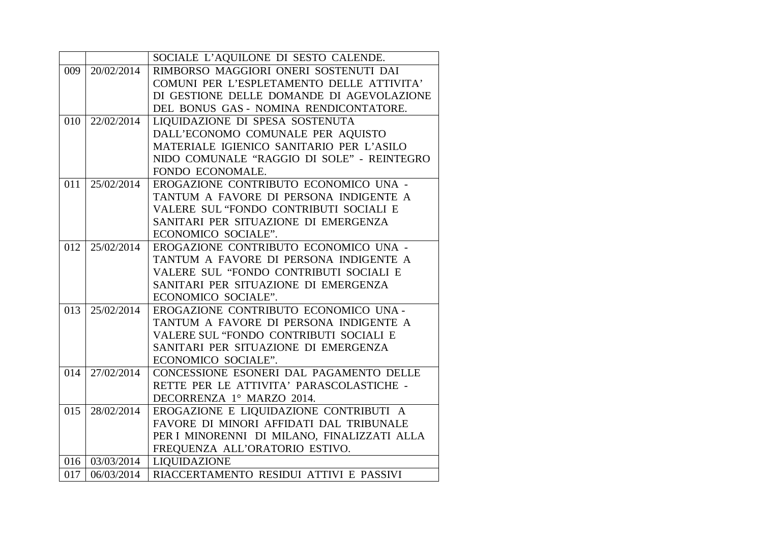|     |            | SOCIALE L'AQUILONE DI SESTO CALENDE.        |
|-----|------------|---------------------------------------------|
| 009 | 20/02/2014 | RIMBORSO MAGGIORI ONERI SOSTENUTI DAI       |
|     |            | COMUNI PER L'ESPLETAMENTO DELLE ATTIVITA'   |
|     |            | DI GESTIONE DELLE DOMANDE DI AGEVOLAZIONE   |
|     |            | DEL BONUS GAS - NOMINA RENDICONTATORE.      |
| 010 | 22/02/2014 | LIQUIDAZIONE DI SPESA SOSTENUTA             |
|     |            | DALL'ECONOMO COMUNALE PER AQUISTO           |
|     |            | MATERIALE IGIENICO SANITARIO PER L'ASILO    |
|     |            | NIDO COMUNALE "RAGGIO DI SOLE" - REINTEGRO  |
|     |            | FONDO ECONOMALE.                            |
| 011 | 25/02/2014 | EROGAZIONE CONTRIBUTO ECONOMICO UNA -       |
|     |            | TANTUM A FAVORE DI PERSONA INDIGENTE A      |
|     |            | VALERE SUL "FONDO CONTRIBUTI SOCIALI E      |
|     |            | SANITARI PER SITUAZIONE DI EMERGENZA        |
|     |            | ECONOMICO SOCIALE".                         |
| 012 | 25/02/2014 | EROGAZIONE CONTRIBUTO ECONOMICO UNA -       |
|     |            | TANTUM A FAVORE DI PERSONA INDIGENTE A      |
|     |            | VALERE SUL "FONDO CONTRIBUTI SOCIALI E      |
|     |            | SANITARI PER SITUAZIONE DI EMERGENZA        |
|     |            | ECONOMICO SOCIALE".                         |
| 013 | 25/02/2014 | EROGAZIONE CONTRIBUTO ECONOMICO UNA-        |
|     |            | TANTUM A FAVORE DI PERSONA INDIGENTE A      |
|     |            | VALERE SUL "FONDO CONTRIBUTI SOCIALI E      |
|     |            | SANITARI PER SITUAZIONE DI EMERGENZA        |
|     |            | ECONOMICO SOCIALE".                         |
| 014 | 27/02/2014 | CONCESSIONE ESONERI DAL PAGAMENTO DELLE     |
|     |            | RETTE PER LE ATTIVITA' PARASCOLASTICHE -    |
|     |            | DECORRENZA 1° MARZO 2014.                   |
| 015 | 28/02/2014 | EROGAZIONE E LIQUIDAZIONE CONTRIBUTI A      |
|     |            | FAVORE DI MINORI AFFIDATI DAL TRIBUNALE     |
|     |            | PER I MINORENNI DI MILANO, FINALIZZATI ALLA |
|     |            | FREQUENZA ALL'ORATORIO ESTIVO.              |
|     |            | 016   03/03/2014   LIQUIDAZIONE             |
| 017 | 06/03/2014 | RIACCERTAMENTO RESIDUI ATTIVI E PASSIVI     |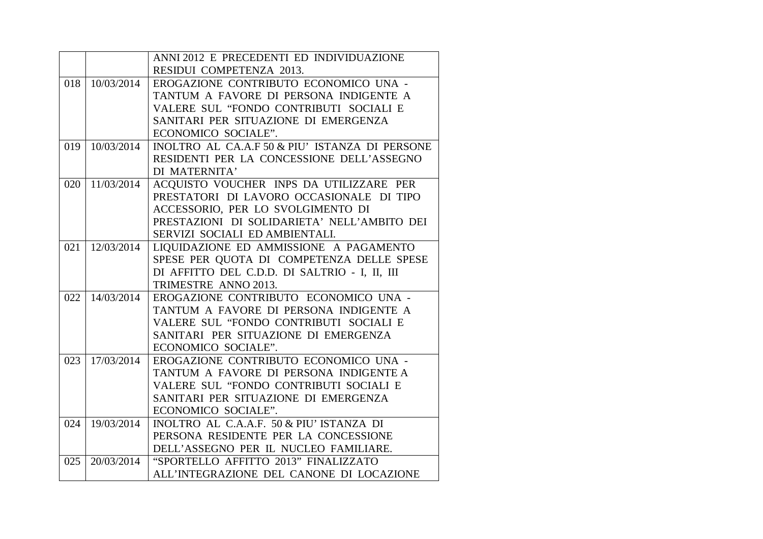|     |            | ANNI 2012 E PRECEDENTI ED INDIVIDUAZIONE       |
|-----|------------|------------------------------------------------|
|     |            | RESIDUI COMPETENZA 2013.                       |
| 018 | 10/03/2014 | EROGAZIONE CONTRIBUTO ECONOMICO UNA -          |
|     |            | TANTUM A FAVORE DI PERSONA INDIGENTE A         |
|     |            | VALERE SUL "FONDO CONTRIBUTI SOCIALI E         |
|     |            | SANITARI PER SITUAZIONE DI EMERGENZA           |
|     |            | ECONOMICO SOCIALE".                            |
| 019 | 10/03/2014 | INOLTRO AL CA.A.F 50 & PIU' ISTANZA DI PERSONE |
|     |            | RESIDENTI PER LA CONCESSIONE DELL'ASSEGNO      |
|     |            | DI MATERNITA'                                  |
| 020 | 11/03/2014 | ACQUISTO VOUCHER INPS DA UTILIZZARE PER        |
|     |            | PRESTATORI DI LAVORO OCCASIONALE DI TIPO       |
|     |            | ACCESSORIO, PER LO SVOLGIMENTO DI              |
|     |            | PRESTAZIONI DI SOLIDARIETA' NELL'AMBITO DEI    |
|     |            | SERVIZI SOCIALI ED AMBIENTALI.                 |
| 021 | 12/03/2014 | LIQUIDAZIONE ED AMMISSIONE A PAGAMENTO         |
|     |            | SPESE PER QUOTA DI COMPETENZA DELLE SPESE      |
|     |            | DI AFFITTO DEL C.D.D. DI SALTRIO - I, II, III  |
|     |            | TRIMESTRE ANNO 2013.                           |
| 022 | 14/03/2014 | EROGAZIONE CONTRIBUTO ECONOMICO UNA -          |
|     |            | TANTUM A FAVORE DI PERSONA INDIGENTE A         |
|     |            | VALERE SUL "FONDO CONTRIBUTI SOCIALI E         |
|     |            | SANITARI PER SITUAZIONE DI EMERGENZA           |
|     |            | ECONOMICO SOCIALE".                            |
| 023 | 17/03/2014 | EROGAZIONE CONTRIBUTO ECONOMICO UNA -          |
|     |            | TANTUM A FAVORE DI PERSONA INDIGENTE A         |
|     |            | VALERE SUL "FONDO CONTRIBUTI SOCIALI E         |
|     |            | SANITARI PER SITUAZIONE DI EMERGENZA           |
|     |            | ECONOMICO SOCIALE".                            |
| 024 | 19/03/2014 | INOLTRO AL C.A.A.F. 50 & PIU' ISTANZA DI       |
|     |            | PERSONA RESIDENTE PER LA CONCESSIONE           |
|     |            | DELL'ASSEGNO PER IL NUCLEO FAMILIARE.          |
| 025 | 20/03/2014 | "SPORTELLO AFFITTO 2013" FINALIZZATO           |
|     |            | ALL'INTEGRAZIONE DEL CANONE DI LOCAZIONE       |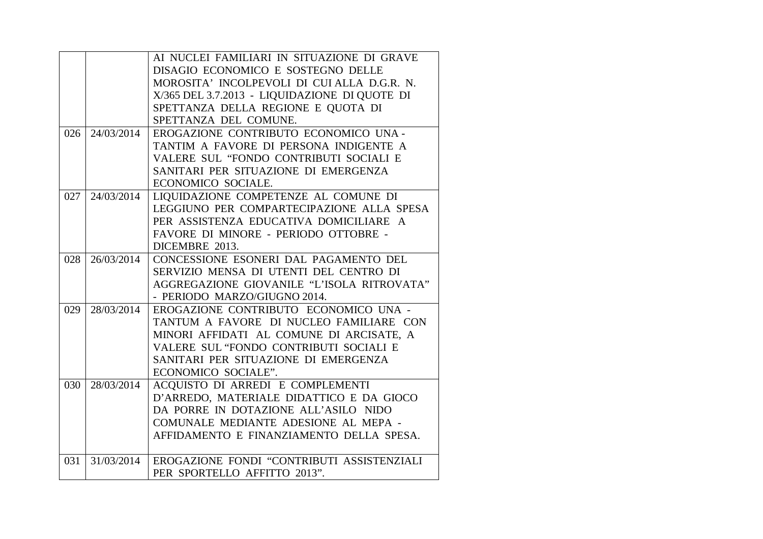|     |            | AI NUCLEI FAMILIARI IN SITUAZIONE DI GRAVE    |
|-----|------------|-----------------------------------------------|
|     |            | DISAGIO ECONOMICO E SOSTEGNO DELLE            |
|     |            | MOROSITA' INCOLPEVOLI DI CUI ALLA D.G.R. N.   |
|     |            | X/365 DEL 3.7.2013 - LIQUIDAZIONE DI QUOTE DI |
|     |            | SPETTANZA DELLA REGIONE E QUOTA DI            |
|     |            | SPETTANZA DEL COMUNE.                         |
| 026 | 24/03/2014 | EROGAZIONE CONTRIBUTO ECONOMICO UNA -         |
|     |            | TANTIM A FAVORE DI PERSONA INDIGENTE A        |
|     |            | VALERE SUL "FONDO CONTRIBUTI SOCIALI E        |
|     |            | SANITARI PER SITUAZIONE DI EMERGENZA          |
|     |            | ECONOMICO SOCIALE.                            |
| 027 | 24/03/2014 | LIQUIDAZIONE COMPETENZE AL COMUNE DI          |
|     |            | LEGGIUNO PER COMPARTECIPAZIONE ALLA SPESA     |
|     |            | PER ASSISTENZA EDUCATIVA DOMICILIARE A        |
|     |            | FAVORE DI MINORE - PERIODO OTTOBRE -          |
|     |            | DICEMBRE 2013.                                |
| 028 | 26/03/2014 | CONCESSIONE ESONERI DAL PAGAMENTO DEL         |
|     |            | SERVIZIO MENSA DI UTENTI DEL CENTRO DI        |
|     |            | AGGREGAZIONE GIOVANILE "L'ISOLA RITROVATA"    |
|     |            | - PERIODO MARZO/GIUGNO 2014.                  |
| 029 | 28/03/2014 | EROGAZIONE CONTRIBUTO ECONOMICO UNA -         |
|     |            | TANTUM A FAVORE DI NUCLEO FAMILIARE CON       |
|     |            | MINORI AFFIDATI AL COMUNE DI ARCISATE, A      |
|     |            | VALERE SUL "FONDO CONTRIBUTI SOCIALI E        |
|     |            | SANITARI PER SITUAZIONE DI EMERGENZA          |
|     |            | ECONOMICO SOCIALE".                           |
| 030 | 28/03/2014 | ACQUISTO DI ARREDI E COMPLEMENTI              |
|     |            | D'ARREDO, MATERIALE DIDATTICO E DA GIOCO      |
|     |            | DA PORRE IN DOTAZIONE ALL'ASILO NIDO          |
|     |            | COMUNALE MEDIANTE ADESIONE AL MEPA -          |
|     |            | AFFIDAMENTO E FINANZIAMENTO DELLA SPESA.      |
|     |            |                                               |
| 031 | 31/03/2014 | EROGAZIONE FONDI "CONTRIBUTI ASSISTENZIALI    |
|     |            | PER SPORTELLO AFFITTO 2013".                  |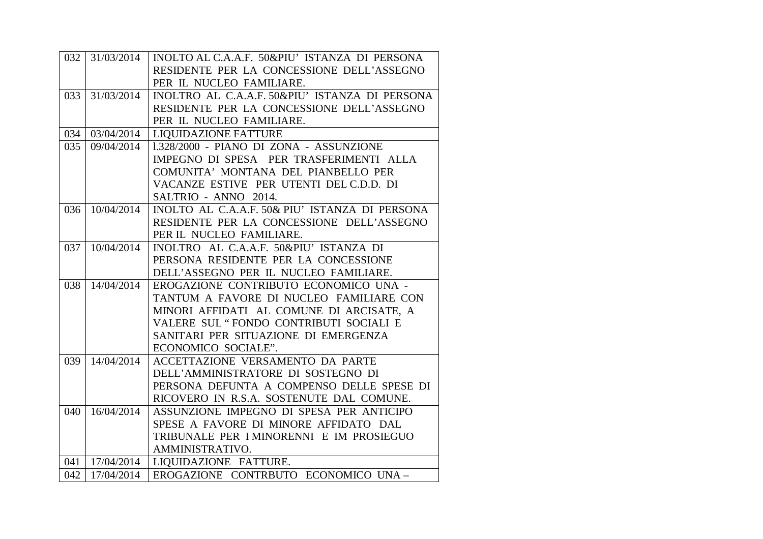| 032 |            | 31/03/2014   INOLTO AL C.A.A.F. 50&PIU' ISTANZA DI PERSONA |
|-----|------------|------------------------------------------------------------|
|     |            | RESIDENTE PER LA CONCESSIONE DELL'ASSEGNO                  |
|     |            | PER IL NUCLEO FAMILIARE.                                   |
| 033 | 31/03/2014 | INOLTRO AL C.A.A.F. 50&PIU' ISTANZA DI PERSONA             |
|     |            | RESIDENTE PER LA CONCESSIONE DELL'ASSEGNO                  |
|     |            | PER IL NUCLEO FAMILIARE.                                   |
| 034 | 03/04/2014 | <b>LIQUIDAZIONE FATTURE</b>                                |
| 035 | 09/04/2014 | 1.328/2000 - PIANO DI ZONA - ASSUNZIONE                    |
|     |            | IMPEGNO DI SPESA PER TRASFERIMENTI ALLA                    |
|     |            | COMUNITA' MONTANA DEL PIANBELLO PER                        |
|     |            | VACANZE ESTIVE PER UTENTI DEL C.D.D. DI                    |
|     |            | SALTRIO - ANNO 2014.                                       |
| 036 | 10/04/2014 | INOLTO AL C.A.A.F. 50& PIU' ISTANZA DI PERSONA             |
|     |            | RESIDENTE PER LA CONCESSIONE DELL'ASSEGNO                  |
|     |            | PER IL NUCLEO FAMILIARE.                                   |
| 037 | 10/04/2014 | INOLTRO AL C.A.A.F. 50&PIU' ISTANZA DI                     |
|     |            | PERSONA RESIDENTE PER LA CONCESSIONE                       |
|     |            | DELL'ASSEGNO PER IL NUCLEO FAMILIARE.                      |
| 038 | 14/04/2014 | EROGAZIONE CONTRIBUTO ECONOMICO UNA -                      |
|     |            | TANTUM A FAVORE DI NUCLEO FAMILIARE CON                    |
|     |            | MINORI AFFIDATI AL COMUNE DI ARCISATE, A                   |
|     |            | VALERE SUL "FONDO CONTRIBUTI SOCIALI E                     |
|     |            | SANITARI PER SITUAZIONE DI EMERGENZA                       |
|     |            | ECONOMICO SOCIALE".                                        |
| 039 | 14/04/2014 | ACCETTAZIONE VERSAMENTO DA PARTE                           |
|     |            | DELL'AMMINISTRATORE DI SOSTEGNO DI                         |
|     |            | PERSONA DEFUNTA A COMPENSO DELLE SPESE DI                  |
|     |            | RICOVERO IN R.S.A. SOSTENUTE DAL COMUNE.                   |
| 040 | 16/04/2014 | ASSUNZIONE IMPEGNO DI SPESA PER ANTICIPO                   |
|     |            | SPESE A FAVORE DI MINORE AFFIDATO DAL                      |
|     |            | TRIBUNALE PER I MINORENNI E IM PROSIEGUO                   |
|     |            | AMMINISTRATIVO.                                            |
| 041 | 17/04/2014 | LIQUIDAZIONE FATTURE.                                      |
| 042 | 17/04/2014 | EROGAZIONE CONTRBUTO ECONOMICO UNA-                        |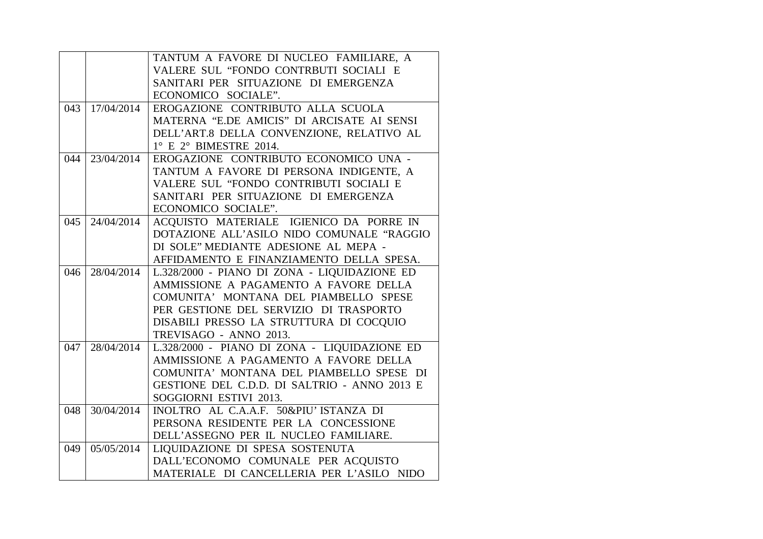|     |            | TANTUM A FAVORE DI NUCLEO FAMILIARE, A                                          |
|-----|------------|---------------------------------------------------------------------------------|
|     |            | VALERE SUL "FONDO CONTRBUTI SOCIALI E                                           |
|     |            | SANITARI PER SITUAZIONE DI EMERGENZA                                            |
|     |            | ECONOMICO SOCIALE".                                                             |
| 043 | 17/04/2014 | EROGAZIONE CONTRIBUTO ALLA SCUOLA                                               |
|     |            | MATERNA "E.DE AMICIS" DI ARCISATE AI SENSI                                      |
|     |            | DELL'ART.8 DELLA CONVENZIONE, RELATIVO AL                                       |
|     |            | $1^\circ$ E $2^\circ$ BIMESTRE 2014.                                            |
| 044 | 23/04/2014 | EROGAZIONE CONTRIBUTO ECONOMICO UNA -                                           |
|     |            | TANTUM A FAVORE DI PERSONA INDIGENTE, A                                         |
|     |            | VALERE SUL "FONDO CONTRIBUTI SOCIALI E                                          |
|     |            | SANITARI PER SITUAZIONE DI EMERGENZA                                            |
|     |            | ECONOMICO SOCIALE".                                                             |
| 045 | 24/04/2014 | ACQUISTO MATERIALE IGIENICO DA PORRE IN                                         |
|     |            | DOTAZIONE ALL'ASILO NIDO COMUNALE "RAGGIO                                       |
|     |            | DI SOLE" MEDIANTE ADESIONE AL MEPA -                                            |
|     |            | AFFIDAMENTO E FINANZIAMENTO DELLA SPESA.                                        |
|     |            |                                                                                 |
| 046 | 28/04/2014 | L.328/2000 - PIANO DI ZONA - LIQUIDAZIONE ED                                    |
|     |            | AMMISSIONE A PAGAMENTO A FAVORE DELLA                                           |
|     |            | COMUNITA' MONTANA DEL PIAMBELLO SPESE                                           |
|     |            | PER GESTIONE DEL SERVIZIO DI TRASPORTO                                          |
|     |            | DISABILI PRESSO LA STRUTTURA DI COCQUIO                                         |
|     |            | TREVISAGO - ANNO 2013.                                                          |
| 047 | 28/04/2014 | L.328/2000 - PIANO DI ZONA - LIQUIDAZIONE ED                                    |
|     |            | AMMISSIONE A PAGAMENTO A FAVORE DELLA                                           |
|     |            | COMUNITA' MONTANA DEL PIAMBELLO SPESE DI                                        |
|     |            | GESTIONE DEL C.D.D. DI SALTRIO - ANNO 2013 E                                    |
|     |            | SOGGIORNI ESTIVI 2013.                                                          |
| 048 | 30/04/2014 | INOLTRO AL C.A.A.F. 50&PIU' ISTANZA DI                                          |
|     |            | PERSONA RESIDENTE PER LA CONCESSIONE                                            |
|     |            | DELL'ASSEGNO PER IL NUCLEO FAMILIARE.                                           |
| 049 | 05/05/2014 | LIQUIDAZIONE DI SPESA SOSTENUTA                                                 |
|     |            | DALL'ECONOMO COMUNALE PER ACQUISTO<br>MATERIALE DI CANCELLERIA PER L'ASILO NIDO |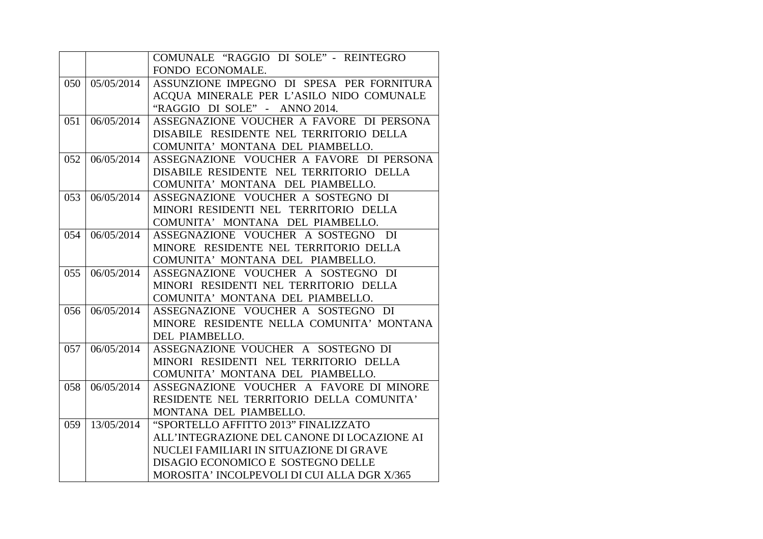|     |            | COMUNALE "RAGGIO DI SOLE" - REINTEGRO       |
|-----|------------|---------------------------------------------|
|     |            | FONDO ECONOMALE.                            |
| 050 | 05/05/2014 | ASSUNZIONE IMPEGNO DI SPESA PER FORNITURA   |
|     |            | ACQUA MINERALE PER L'ASILO NIDO COMUNALE    |
|     |            | "RAGGIO DI SOLE" - ANNO 2014.               |
| 051 | 06/05/2014 | ASSEGNAZIONE VOUCHER A FAVORE DI PERSONA    |
|     |            | DISABILE RESIDENTE NEL TERRITORIO DELLA     |
|     |            | COMUNITA' MONTANA DEL PIAMBELLO.            |
| 052 | 06/05/2014 | ASSEGNAZIONE VOUCHER A FAVORE DI PERSONA    |
|     |            | DISABILE RESIDENTE NEL TERRITORIO DELLA     |
|     |            | COMUNITA' MONTANA DEL PIAMBELLO.            |
| 053 | 06/05/2014 | ASSEGNAZIONE VOUCHER A SOSTEGNO DI          |
|     |            | MINORI RESIDENTI NEL TERRITORIO DELLA       |
|     |            | COMUNITA' MONTANA DEL PIAMBELLO.            |
| 054 | 06/05/2014 | ASSEGNAZIONE VOUCHER A SOSTEGNO DI          |
|     |            | MINORE RESIDENTE NEL TERRITORIO DELLA       |
|     |            | COMUNITA' MONTANA DEL PIAMBELLO.            |
| 055 | 06/05/2014 | ASSEGNAZIONE VOUCHER A SOSTEGNO DI          |
|     |            | MINORI RESIDENTI NEL TERRITORIO DELLA       |
|     |            | COMUNITA' MONTANA DEL PIAMBELLO.            |
| 056 | 06/05/2014 | ASSEGNAZIONE VOUCHER A SOSTEGNO DI          |
|     |            | MINORE RESIDENTE NELLA COMUNITA' MONTANA    |
|     |            | DEL PIAMBELLO.                              |
| 057 | 06/05/2014 | ASSEGNAZIONE VOUCHER A SOSTEGNO DI          |
|     |            | MINORI RESIDENTI NEL TERRITORIO DELLA       |
|     |            | COMUNITA' MONTANA DEL PIAMBELLO.            |
| 058 | 06/05/2014 | ASSEGNAZIONE VOUCHER A FAVORE DI MINORE     |
|     |            | RESIDENTE NEL TERRITORIO DELLA COMUNITA'    |
|     |            | MONTANA DEL PIAMBELLO.                      |
| 059 | 13/05/2014 | "SPORTELLO AFFITTO 2013" FINALIZZATO        |
|     |            | ALL'INTEGRAZIONE DEL CANONE DI LOCAZIONE AI |
|     |            | NUCLEI FAMILIARI IN SITUAZIONE DI GRAVE     |
|     |            | DISAGIO ECONOMICO E SOSTEGNO DELLE          |
|     |            | MOROSITA' INCOLPEVOLI DI CUI ALLA DGR X/365 |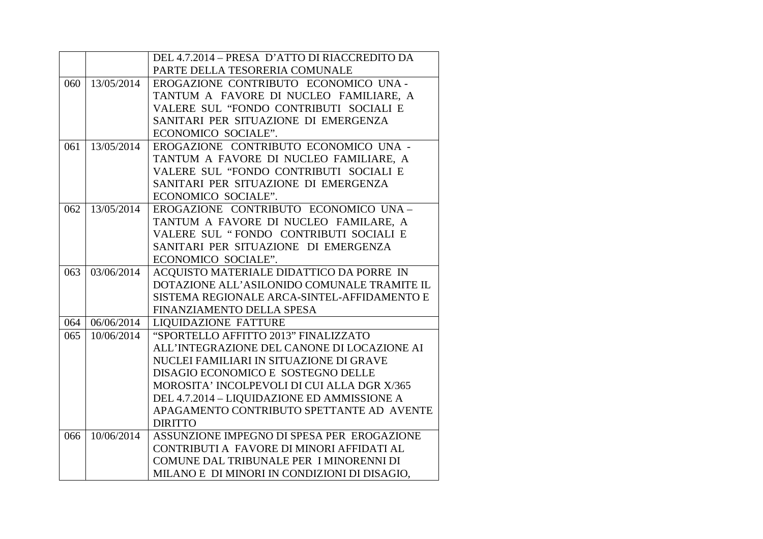|     |            | DEL 4.7.2014 - PRESA D'ATTO DI RIACCREDITO DA                                           |
|-----|------------|-----------------------------------------------------------------------------------------|
|     |            | PARTE DELLA TESORERIA COMUNALE                                                          |
| 060 | 13/05/2014 | EROGAZIONE CONTRIBUTO ECONOMICO UNA-                                                    |
|     |            | TANTUM A FAVORE DI NUCLEO FAMILIARE, A                                                  |
|     |            | VALERE SUL "FONDO CONTRIBUTI SOCIALI E                                                  |
|     |            | SANITARI PER SITUAZIONE DI EMERGENZA                                                    |
|     |            | ECONOMICO SOCIALE".                                                                     |
| 061 | 13/05/2014 | EROGAZIONE CONTRIBUTO ECONOMICO UNA -                                                   |
|     |            | TANTUM A FAVORE DI NUCLEO FAMILIARE, A                                                  |
|     |            | VALERE SUL "FONDO CONTRIBUTI SOCIALI E                                                  |
|     |            | SANITARI PER SITUAZIONE DI EMERGENZA                                                    |
|     |            | ECONOMICO SOCIALE".                                                                     |
| 062 | 13/05/2014 | EROGAZIONE CONTRIBUTO ECONOMICO UNA-                                                    |
|     |            | TANTUM A FAVORE DI NUCLEO FAMILARE, A                                                   |
|     |            | VALERE SUL "FONDO CONTRIBUTI SOCIALI E                                                  |
|     |            | SANITARI PER SITUAZIONE DI EMERGENZA                                                    |
|     |            | ECONOMICO SOCIALE".                                                                     |
| 063 | 03/06/2014 | ACQUISTO MATERIALE DIDATTICO DA PORRE IN                                                |
|     |            |                                                                                         |
|     |            | DOTAZIONE ALL'ASILONIDO COMUNALE TRAMITE IL                                             |
|     |            | SISTEMA REGIONALE ARCA-SINTEL-AFFIDAMENTO E                                             |
|     |            | FINANZIAMENTO DELLA SPESA                                                               |
| 064 | 06/06/2014 | <b>LIQUIDAZIONE FATTURE</b>                                                             |
| 065 | 10/06/2014 | "SPORTELLO AFFITTO 2013" FINALIZZATO                                                    |
|     |            | ALL'INTEGRAZIONE DEL CANONE DI LOCAZIONE AI                                             |
|     |            | NUCLEI FAMILIARI IN SITUAZIONE DI GRAVE                                                 |
|     |            | DISAGIO ECONOMICO E SOSTEGNO DELLE                                                      |
|     |            | MOROSITA' INCOLPEVOLI DI CUI ALLA DGR X/365                                             |
|     |            | DEL 4.7.2014 - LIQUIDAZIONE ED AMMISSIONE A                                             |
|     |            | APAGAMENTO CONTRIBUTO SPETTANTE AD AVENTE                                               |
|     |            | <b>DIRITTO</b>                                                                          |
| 066 | 10/06/2014 | ASSUNZIONE IMPEGNO DI SPESA PER EROGAZIONE                                              |
|     |            | CONTRIBUTI A FAVORE DI MINORI AFFIDATI AL                                               |
|     |            | COMUNE DAL TRIBUNALE PER I MINORENNI DI<br>MILANO E DI MINORI IN CONDIZIONI DI DISAGIO, |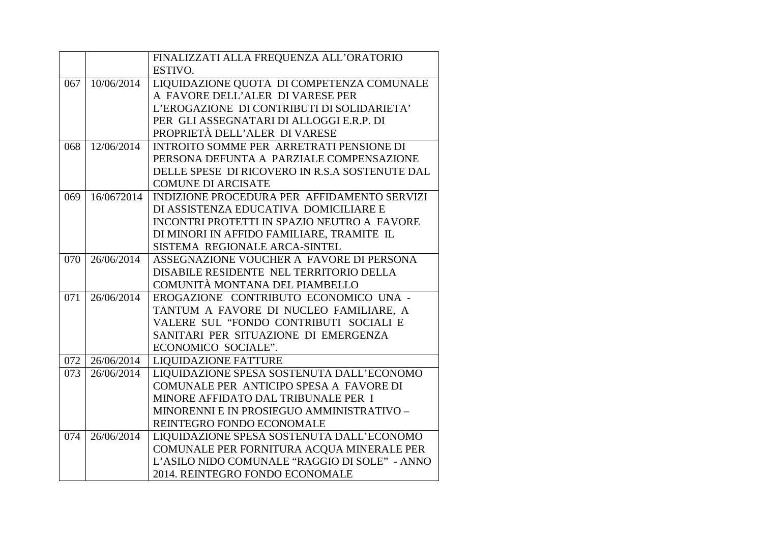|     |            | FINALIZZATI ALLA FREQUENZA ALL'ORATORIO        |
|-----|------------|------------------------------------------------|
|     |            | ESTIVO.                                        |
| 067 | 10/06/2014 | LIQUIDAZIONE QUOTA DI COMPETENZA COMUNALE      |
|     |            | A FAVORE DELL'ALER DI VARESE PER               |
|     |            | L'EROGAZIONE DI CONTRIBUTI DI SOLIDARIETA'     |
|     |            | PER GLI ASSEGNATARI DI ALLOGGI E.R.P. DI       |
|     |            | PROPRIETÀ DELL'ALER DI VARESE                  |
| 068 | 12/06/2014 | INTROITO SOMME PER ARRETRATI PENSIONE DI       |
|     |            | PERSONA DEFUNTA A PARZIALE COMPENSAZIONE       |
|     |            | DELLE SPESE DI RICOVERO IN R.S.A SOSTENUTE DAL |
|     |            | <b>COMUNE DI ARCISATE</b>                      |
| 069 | 16/0672014 | INDIZIONE PROCEDURA PER AFFIDAMENTO SERVIZI    |
|     |            | DI ASSISTENZA EDUCATIVA DOMICILIARE E          |
|     |            | INCONTRI PROTETTI IN SPAZIO NEUTRO A FAVORE    |
|     |            | DI MINORI IN AFFIDO FAMILIARE, TRAMITE IL      |
|     |            | SISTEMA REGIONALE ARCA-SINTEL                  |
| 070 | 26/06/2014 | ASSEGNAZIONE VOUCHER A FAVORE DI PERSONA       |
|     |            | DISABILE RESIDENTE NEL TERRITORIO DELLA        |
|     |            | COMUNITÀ MONTANA DEL PIAMBELLO                 |
| 071 | 26/06/2014 | EROGAZIONE CONTRIBUTO ECONOMICO UNA -          |
|     |            | TANTUM A FAVORE DI NUCLEO FAMILIARE, A         |
|     |            | VALERE SUL "FONDO CONTRIBUTI SOCIALI E         |
|     |            | SANITARI PER SITUAZIONE DI EMERGENZA           |
|     |            | ECONOMICO SOCIALE".                            |
| 072 | 26/06/2014 | <b>LIQUIDAZIONE FATTURE</b>                    |
| 073 | 26/06/2014 | LIQUIDAZIONE SPESA SOSTENUTA DALL'ECONOMO      |
|     |            | COMUNALE PER ANTICIPO SPESA A FAVORE DI        |
|     |            | MINORE AFFIDATO DAL TRIBUNALE PER I            |
|     |            | MINORENNI E IN PROSIEGUO AMMINISTRATIVO -      |
|     |            | REINTEGRO FONDO ECONOMALE                      |
| 074 | 26/06/2014 | LIQUIDAZIONE SPESA SOSTENUTA DALL'ECONOMO      |
|     |            | COMUNALE PER FORNITURA ACQUA MINERALE PER      |
|     |            | L'ASILO NIDO COMUNALE "RAGGIO DI SOLE" - ANNO  |
|     |            | 2014. REINTEGRO FONDO ECONOMALE                |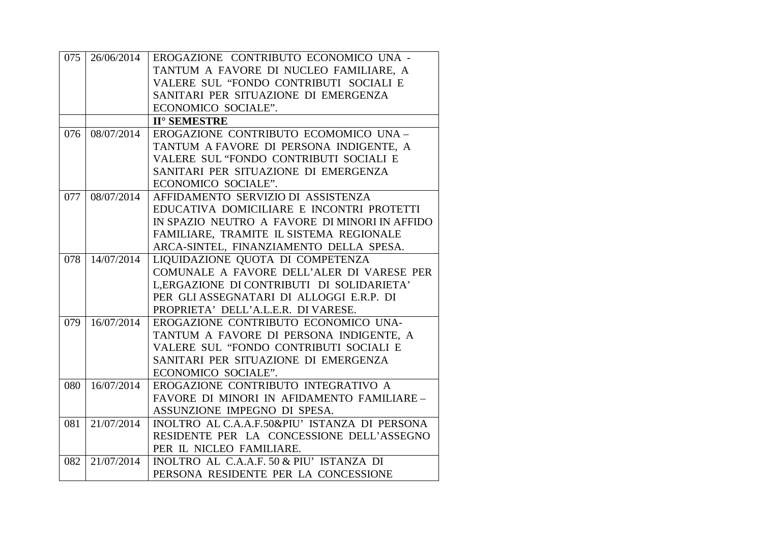| 075 |            | 26/06/2014   EROGAZIONE CONTRIBUTO ECONOMICO UNA - |
|-----|------------|----------------------------------------------------|
|     |            | TANTUM A FAVORE DI NUCLEO FAMILIARE, A             |
|     |            | VALERE SUL "FONDO CONTRIBUTI SOCIALI E             |
|     |            | SANITARI PER SITUAZIONE DI EMERGENZA               |
|     |            | ECONOMICO SOCIALE".                                |
|     |            | <b>II° SEMESTRE</b>                                |
| 076 | 08/07/2014 | EROGAZIONE CONTRIBUTO ECOMOMICO UNA-               |
|     |            | TANTUM A FAVORE DI PERSONA INDIGENTE, A            |
|     |            | VALERE SUL "FONDO CONTRIBUTI SOCIALI E             |
|     |            | SANITARI PER SITUAZIONE DI EMERGENZA               |
|     |            | ECONOMICO SOCIALE".                                |
| 077 | 08/07/2014 | AFFIDAMENTO SERVIZIO DI ASSISTENZA                 |
|     |            | EDUCATIVA DOMICILIARE E INCONTRI PROTETTI          |
|     |            | IN SPAZIO NEUTRO A FAVORE DI MINORI IN AFFIDO      |
|     |            | FAMILIARE, TRAMITE IL SISTEMA REGIONALE            |
|     |            | ARCA-SINTEL, FINANZIAMENTO DELLA SPESA.            |
| 078 | 14/07/2014 | LIQUIDAZIONE QUOTA DI COMPETENZA                   |
|     |            | COMUNALE A FAVORE DELL'ALER DI VARESE PER          |
|     |            | L, ERGAZIONE DI CONTRIBUTI DI SOLIDARIETA'         |
|     |            | PER GLI ASSEGNATARI DI ALLOGGI E.R.P. DI           |
|     |            | PROPRIETA' DELL'A.L.E.R. DI VARESE.                |
| 079 | 16/07/2014 | EROGAZIONE CONTRIBUTO ECONOMICO UNA-               |
|     |            | TANTUM A FAVORE DI PERSONA INDIGENTE, A            |
|     |            | VALERE SUL "FONDO CONTRIBUTI SOCIALI E             |
|     |            | SANITARI PER SITUAZIONE DI EMERGENZA               |
|     |            | ECONOMICO SOCIALE".                                |
| 080 | 16/07/2014 | EROGAZIONE CONTRIBUTO INTEGRATIVO A                |
|     |            | FAVORE DI MINORI IN AFIDAMENTO FAMILIARE-          |
|     |            | ASSUNZIONE IMPEGNO DI SPESA.                       |
| 081 | 21/07/2014 | INOLTRO AL C.A.A.F.50&PIU' ISTANZA DI PERSONA      |
|     |            | RESIDENTE PER LA CONCESSIONE DELL'ASSEGNO          |
|     |            | PER IL NICLEO FAMILIARE.                           |
| 082 | 21/07/2014 | INOLTRO AL C.A.A.F. 50 & PIU' ISTANZA DI           |
|     |            | PERSONA RESIDENTE PER LA CONCESSIONE               |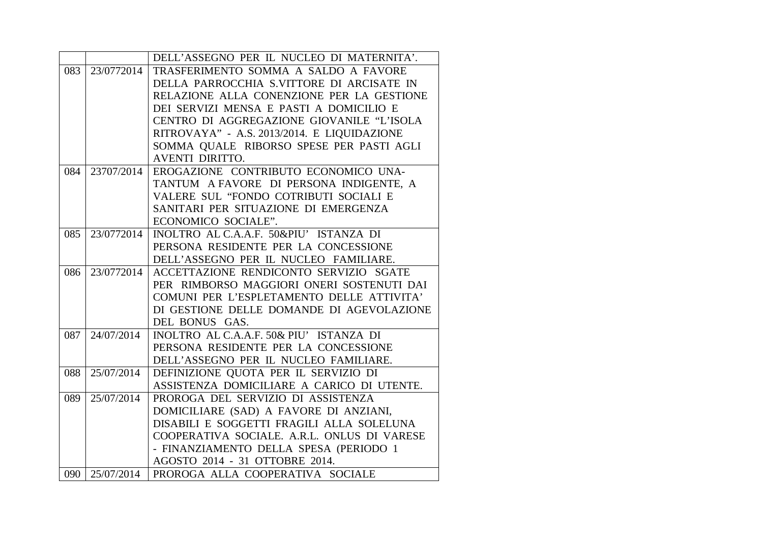|     |            | DELL'ASSEGNO PER IL NUCLEO DI MATERNITA'.   |
|-----|------------|---------------------------------------------|
| 083 | 23/0772014 | TRASFERIMENTO SOMMA A SALDO A FAVORE        |
|     |            | DELLA PARROCCHIA S.VITTORE DI ARCISATE IN   |
|     |            | RELAZIONE ALLA CONENZIONE PER LA GESTIONE   |
|     |            | DEI SERVIZI MENSA E PASTI A DOMICILIO E     |
|     |            | CENTRO DI AGGREGAZIONE GIOVANILE "L'ISOLA   |
|     |            | RITROVAYA" - A.S. 2013/2014. E LIQUIDAZIONE |
|     |            | SOMMA QUALE RIBORSO SPESE PER PASTI AGLI    |
|     |            | <b>AVENTI DIRITTO.</b>                      |
| 084 | 23707/2014 | EROGAZIONE CONTRIBUTO ECONOMICO UNA-        |
|     |            | TANTUM A FAVORE DI PERSONA INDIGENTE, A     |
|     |            | VALERE SUL "FONDO COTRIBUTI SOCIALI E       |
|     |            | SANITARI PER SITUAZIONE DI EMERGENZA        |
|     |            | ECONOMICO SOCIALE".                         |
| 085 | 23/0772014 | INOLTRO AL C.A.A.F. 50&PIU' ISTANZA DI      |
|     |            | PERSONA RESIDENTE PER LA CONCESSIONE        |
|     |            | DELL'ASSEGNO PER IL NUCLEO FAMILIARE.       |
| 086 | 23/0772014 | ACCETTAZIONE RENDICONTO SERVIZIO SGATE      |
|     |            | PER RIMBORSO MAGGIORI ONERI SOSTENUTI DAI   |
|     |            | COMUNI PER L'ESPLETAMENTO DELLE ATTIVITA'   |
|     |            | DI GESTIONE DELLE DOMANDE DI AGEVOLAZIONE   |
|     |            | DEL BONUS GAS.                              |
| 087 | 24/07/2014 | INOLTRO AL C.A.A.F. 50& PIU' ISTANZA DI     |
|     |            | PERSONA RESIDENTE PER LA CONCESSIONE        |
|     |            | DELL'ASSEGNO PER IL NUCLEO FAMILIARE.       |
| 088 | 25/07/2014 | DEFINIZIONE QUOTA PER IL SERVIZIO DI        |
|     |            | ASSISTENZA DOMICILIARE A CARICO DI UTENTE.  |
| 089 | 25/07/2014 | PROROGA DEL SERVIZIO DI ASSISTENZA          |
|     |            | DOMICILIARE (SAD) A FAVORE DI ANZIANI,      |
|     |            | DISABILI E SOGGETTI FRAGILI ALLA SOLELUNA   |
|     |            | COOPERATIVA SOCIALE. A.R.L. ONLUS DI VARESE |
|     |            | - FINANZIAMENTO DELLA SPESA (PERIODO 1      |
|     |            | AGOSTO 2014 - 31 OTTOBRE 2014.              |
| 090 | 25/07/2014 | PROROGA ALLA COOPERATIVA SOCIALE            |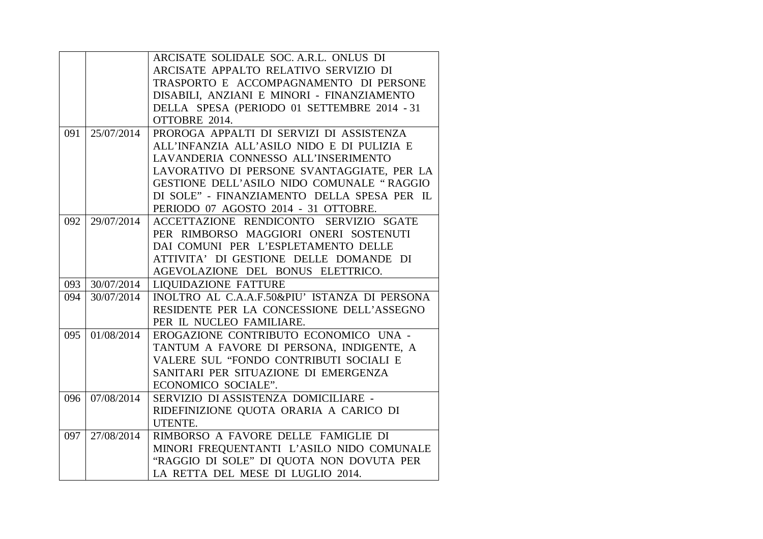|     |            | ARCISATE SOLIDALE SOC. A.R.L. ONLUS DI        |
|-----|------------|-----------------------------------------------|
|     |            | ARCISATE APPALTO RELATIVO SERVIZIO DI         |
|     |            | TRASPORTO E ACCOMPAGNAMENTO DI PERSONE        |
|     |            | DISABILI, ANZIANI E MINORI - FINANZIAMENTO    |
|     |            | DELLA SPESA (PERIODO 01 SETTEMBRE 2014 - 31   |
|     |            | OTTOBRE 2014.                                 |
| 091 | 25/07/2014 | PROROGA APPALTI DI SERVIZI DI ASSISTENZA      |
|     |            | ALL'INFANZIA ALL'ASILO NIDO E DI PULIZIA E    |
|     |            | LAVANDERIA CONNESSO ALL'INSERIMENTO           |
|     |            | LAVORATIVO DI PERSONE SVANTAGGIATE, PER LA    |
|     |            | GESTIONE DELL'ASILO NIDO COMUNALE "RAGGIO     |
|     |            | DI SOLE" - FINANZIAMENTO DELLA SPESA PER IL   |
|     |            | PERIODO 07 AGOSTO 2014 - 31 OTTOBRE.          |
| 092 | 29/07/2014 | ACCETTAZIONE RENDICONTO SERVIZIO SGATE        |
|     |            | PER RIMBORSO MAGGIORI ONERI SOSTENUTI         |
|     |            | DAI COMUNI PER L'ESPLETAMENTO DELLE           |
|     |            | ATTIVITA' DI GESTIONE DELLE DOMANDE DI        |
|     |            | AGEVOLAZIONE DEL BONUS ELETTRICO.             |
| 093 | 30/07/2014 | <b>LIQUIDAZIONE FATTURE</b>                   |
| 094 | 30/07/2014 | INOLTRO AL C.A.A.F.50&PIU' ISTANZA DI PERSONA |
|     |            | RESIDENTE PER LA CONCESSIONE DELL'ASSEGNO     |
|     |            | PER IL NUCLEO FAMILIARE.                      |
| 095 | 01/08/2014 | EROGAZIONE CONTRIBUTO ECONOMICO UNA -         |
|     |            | TANTUM A FAVORE DI PERSONA, INDIGENTE, A      |
|     |            | VALERE SUL "FONDO CONTRIBUTI SOCIALI E        |
|     |            | SANITARI PER SITUAZIONE DI EMERGENZA          |
|     |            | ECONOMICO SOCIALE".                           |
| 096 | 07/08/2014 | SERVIZIO DI ASSISTENZA DOMICILIARE -          |
|     |            | RIDEFINIZIONE QUOTA ORARIA A CARICO DI        |
|     |            | UTENTE.                                       |
| 097 | 27/08/2014 | RIMBORSO A FAVORE DELLE FAMIGLIE DI           |
|     |            | MINORI FREQUENTANTI L'ASILO NIDO COMUNALE     |
|     |            | "RAGGIO DI SOLE" DI QUOTA NON DOVUTA PER      |
|     |            | LA RETTA DEL MESE DI LUGLIO 2014.             |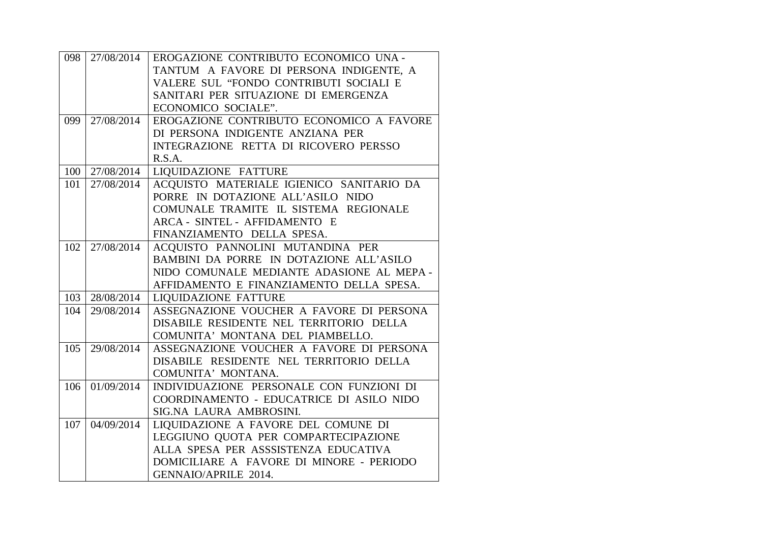| 098 |            | 27/08/2014   EROGAZIONE CONTRIBUTO ECONOMICO UNA - |
|-----|------------|----------------------------------------------------|
|     |            | TANTUM A FAVORE DI PERSONA INDIGENTE, A            |
|     |            | VALERE SUL "FONDO CONTRIBUTI SOCIALI E             |
|     |            | SANITARI PER SITUAZIONE DI EMERGENZA               |
|     |            | ECONOMICO SOCIALE".                                |
| 099 | 27/08/2014 | EROGAZIONE CONTRIBUTO ECONOMICO A FAVORE           |
|     |            | DI PERSONA INDIGENTE ANZIANA PER                   |
|     |            | INTEGRAZIONE RETTA DI RICOVERO PERSSO              |
|     |            | R.S.A.                                             |
| 100 | 27/08/2014 | LIQUIDAZIONE FATTURE                               |
| 101 | 27/08/2014 | ACQUISTO MATERIALE IGIENICO SANITARIO DA           |
|     |            | PORRE IN DOTAZIONE ALL'ASILO NIDO                  |
|     |            | COMUNALE TRAMITE IL SISTEMA REGIONALE              |
|     |            | ARCA - SINTEL - AFFIDAMENTO E                      |
|     |            | FINANZIAMENTO DELLA SPESA.                         |
| 102 | 27/08/2014 | ACQUISTO PANNOLINI MUTANDINA PER                   |
|     |            | BAMBINI DA PORRE IN DOTAZIONE ALL'ASILO            |
|     |            | NIDO COMUNALE MEDIANTE ADASIONE AL MEPA-           |
|     |            | AFFIDAMENTO E FINANZIAMENTO DELLA SPESA.           |
| 103 | 28/08/2014 | <b>LIQUIDAZIONE FATTURE</b>                        |
| 104 | 29/08/2014 | ASSEGNAZIONE VOUCHER A FAVORE DI PERSONA           |
|     |            | DISABILE RESIDENTE NEL TERRITORIO DELLA            |
|     |            | COMUNITA' MONTANA DEL PIAMBELLO.                   |
| 105 | 29/08/2014 | ASSEGNAZIONE VOUCHER A FAVORE DI PERSONA           |
|     |            | DISABILE RESIDENTE NEL TERRITORIO DELLA            |
|     |            | COMUNITA' MONTANA.                                 |
| 106 | 01/09/2014 | INDIVIDUAZIONE PERSONALE CON FUNZIONI DI           |
|     |            | COORDINAMENTO - EDUCATRICE DI ASILO NIDO           |
|     |            | SIG.NA LAURA AMBROSINI.                            |
| 107 | 04/09/2014 | LIQUIDAZIONE A FAVORE DEL COMUNE DI                |
|     |            | LEGGIUNO QUOTA PER COMPARTECIPAZIONE               |
|     |            | ALLA SPESA PER ASSSISTENZA EDUCATIVA               |
|     |            | DOMICILIARE A FAVORE DI MINORE - PERIODO           |
|     |            | GENNAIO/APRILE 2014.                               |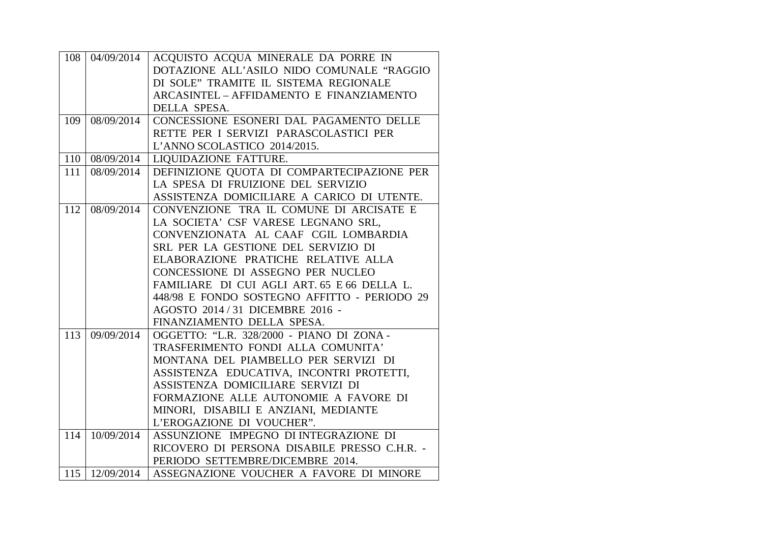| 108 | 04/09/2014                 | ACQUISTO ACQUA MINERALE DA PORRE IN          |
|-----|----------------------------|----------------------------------------------|
|     |                            | DOTAZIONE ALL'ASILO NIDO COMUNALE "RAGGIO    |
|     |                            | DI SOLE" TRAMITE IL SISTEMA REGIONALE        |
|     |                            | ARCASINTEL - AFFIDAMENTO E FINANZIAMENTO     |
|     |                            | DELLA SPESA.                                 |
| 109 | 08/09/2014                 | CONCESSIONE ESONERI DAL PAGAMENTO DELLE      |
|     |                            | RETTE PER I SERVIZI PARASCOLASTICI PER       |
|     |                            | L'ANNO SCOLASTICO 2014/2015.                 |
| 110 | 08/09/2014                 | LIQUIDAZIONE FATTURE.                        |
| 111 | 08/09/2014                 | DEFINIZIONE QUOTA DI COMPARTECIPAZIONE PER   |
|     |                            | LA SPESA DI FRUIZIONE DEL SERVIZIO           |
|     |                            | ASSISTENZA DOMICILIARE A CARICO DI UTENTE.   |
| 112 | 08/09/2014                 | CONVENZIONE TRA IL COMUNE DI ARCISATE E      |
|     |                            | LA SOCIETA' CSF VARESE LEGNANO SRL,          |
|     |                            | CONVENZIONATA AL CAAF CGIL LOMBARDIA         |
|     |                            | SRL PER LA GESTIONE DEL SERVIZIO DI          |
|     |                            | ELABORAZIONE PRATICHE RELATIVE ALLA          |
|     |                            | CONCESSIONE DI ASSEGNO PER NUCLEO            |
|     |                            | FAMILIARE DI CUI AGLI ART. 65 E 66 DELLA L.  |
|     |                            | 448/98 E FONDO SOSTEGNO AFFITTO - PERIODO 29 |
|     |                            | AGOSTO 2014 / 31 DICEMBRE 2016 -             |
|     |                            | FINANZIAMENTO DELLA SPESA.                   |
| 113 | 09/09/2014                 | OGGETTO: "L.R. 328/2000 - PIANO DI ZONA -    |
|     |                            | TRASFERIMENTO FONDI ALLA COMUNITA'           |
|     |                            | MONTANA DEL PIAMBELLO PER SERVIZI DI         |
|     |                            | ASSISTENZA EDUCATIVA, INCONTRI PROTETTI,     |
|     |                            | ASSISTENZA DOMICILIARE SERVIZI DI            |
|     |                            | FORMAZIONE ALLE AUTONOMIE A FAVORE DI        |
|     |                            | MINORI, DISABILI E ANZIANI, MEDIANTE         |
|     |                            | L'EROGAZIONE DI VOUCHER".                    |
| 114 | 10/09/2014                 | ASSUNZIONE IMPEGNO DI INTEGRAZIONE DI        |
|     |                            | RICOVERO DI PERSONA DISABILE PRESSO C.H.R. - |
|     |                            | PERIODO SETTEMBRE/DICEMBRE 2014.             |
|     | $115 \mid 12/09/2014 \mid$ | ASSEGNAZIONE VOUCHER A FAVORE DI MINORE      |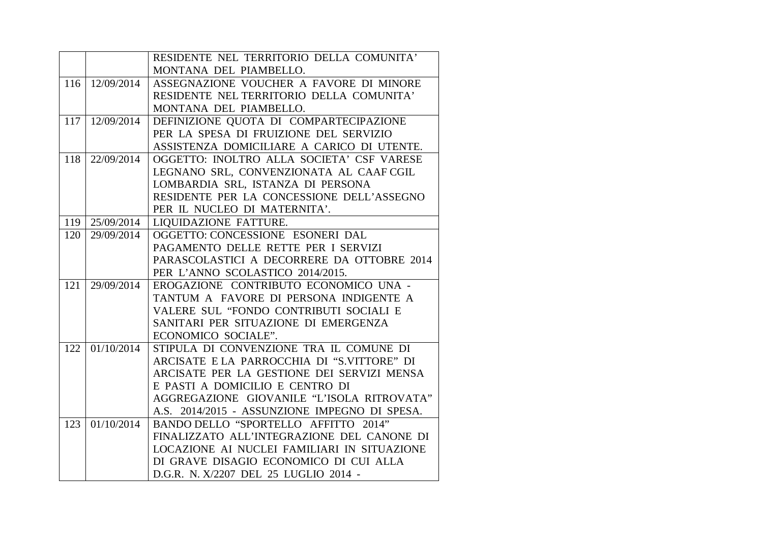|     |            | RESIDENTE NEL TERRITORIO DELLA COMUNITA'      |
|-----|------------|-----------------------------------------------|
|     |            | MONTANA DEL PIAMBELLO.                        |
| 116 | 12/09/2014 | ASSEGNAZIONE VOUCHER A FAVORE DI MINORE       |
|     |            | RESIDENTE NEL TERRITORIO DELLA COMUNITA'      |
|     |            | MONTANA DEL PIAMBELLO.                        |
| 117 | 12/09/2014 | DEFINIZIONE QUOTA DI COMPARTECIPAZIONE        |
|     |            | PER LA SPESA DI FRUIZIONE DEL SERVIZIO        |
|     |            | ASSISTENZA DOMICILIARE A CARICO DI UTENTE.    |
| 118 | 22/09/2014 | OGGETTO: INOLTRO ALLA SOCIETA' CSF VARESE     |
|     |            | LEGNANO SRL, CONVENZIONATA AL CAAF CGIL       |
|     |            | LOMBARDIA SRL, ISTANZA DI PERSONA             |
|     |            | RESIDENTE PER LA CONCESSIONE DELL'ASSEGNO     |
|     |            | PER IL NUCLEO DI MATERNITA'.                  |
| 119 | 25/09/2014 | <b>LIQUIDAZIONE FATTURE.</b>                  |
| 120 | 29/09/2014 | OGGETTO: CONCESSIONE ESONERI DAL              |
|     |            | PAGAMENTO DELLE RETTE PER I SERVIZI           |
|     |            | PARASCOLASTICI A DECORRERE DA OTTOBRE 2014    |
|     |            | PER L'ANNO SCOLASTICO 2014/2015.              |
| 121 | 29/09/2014 | EROGAZIONE CONTRIBUTO ECONOMICO UNA -         |
|     |            | TANTUM A FAVORE DI PERSONA INDIGENTE A        |
|     |            | VALERE SUL "FONDO CONTRIBUTI SOCIALI E        |
|     |            | SANITARI PER SITUAZIONE DI EMERGENZA          |
|     |            | ECONOMICO SOCIALE".                           |
| 122 | 01/10/2014 | STIPULA DI CONVENZIONE TRA IL COMUNE DI       |
|     |            | ARCISATE E LA PARROCCHIA DI "S.VITTORE" DI    |
|     |            | ARCISATE PER LA GESTIONE DEI SERVIZI MENSA    |
|     |            | E PASTI A DOMICILIO E CENTRO DI               |
|     |            | AGGREGAZIONE GIOVANILE "L'ISOLA RITROVATA"    |
|     |            | A.S. 2014/2015 - ASSUNZIONE IMPEGNO DI SPESA. |
| 123 | 01/10/2014 | BANDO DELLO "SPORTELLO AFFITTO 2014"          |
|     |            | FINALIZZATO ALL'INTEGRAZIONE DEL CANONE DI    |
|     |            | LOCAZIONE AI NUCLEI FAMILIARI IN SITUAZIONE   |
|     |            | DI GRAVE DISAGIO ECONOMICO DI CUI ALLA        |
|     |            | D.G.R. N. X/2207 DEL 25 LUGLIO 2014 -         |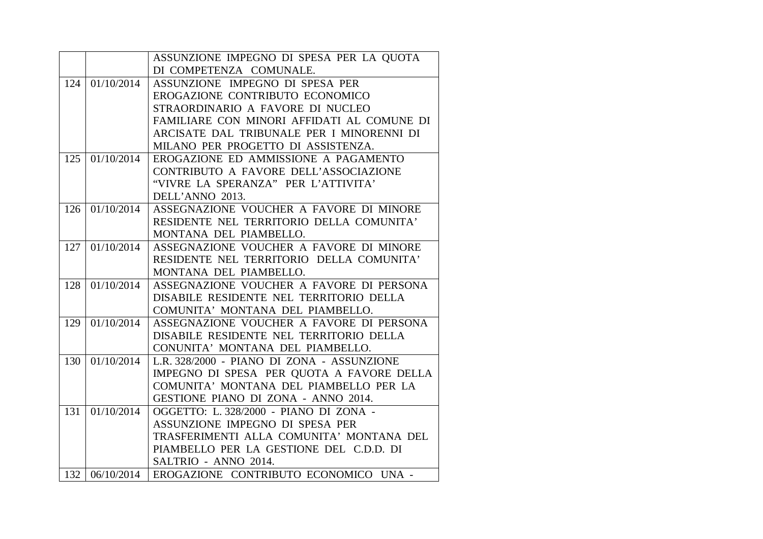|     |            | ASSUNZIONE IMPEGNO DI SPESA PER LA QUOTA                 |
|-----|------------|----------------------------------------------------------|
|     |            | DI COMPETENZA COMUNALE.                                  |
| 124 | 01/10/2014 | ASSUNZIONE IMPEGNO DI SPESA PER                          |
|     |            | EROGAZIONE CONTRIBUTO ECONOMICO                          |
|     |            | STRAORDINARIO A FAVORE DI NUCLEO                         |
|     |            | FAMILIARE CON MINORI AFFIDATI AL COMUNE DI               |
|     |            | ARCISATE DAL TRIBUNALE PER I MINORENNI DI                |
|     |            | MILANO PER PROGETTO DI ASSISTENZA.                       |
| 125 | 01/10/2014 | EROGAZIONE ED AMMISSIONE A PAGAMENTO                     |
|     |            | CONTRIBUTO A FAVORE DELL'ASSOCIAZIONE                    |
|     |            | "VIVRE LA SPERANZA" PER L'ATTIVITA'                      |
|     |            | DELL'ANNO 2013.                                          |
| 126 | 01/10/2014 | ASSEGNAZIONE VOUCHER A FAVORE DI MINORE                  |
|     |            | RESIDENTE NEL TERRITORIO DELLA COMUNITA'                 |
|     |            | MONTANA DEL PIAMBELLO.                                   |
| 127 | 01/10/2014 | ASSEGNAZIONE VOUCHER A FAVORE DI MINORE                  |
|     |            | RESIDENTE NEL TERRITORIO DELLA COMUNITA'                 |
|     |            | MONTANA DEL PIAMBELLO.                                   |
| 128 | 01/10/2014 | ASSEGNAZIONE VOUCHER A FAVORE DI PERSONA                 |
|     |            | DISABILE RESIDENTE NEL TERRITORIO DELLA                  |
|     |            | COMUNITA' MONTANA DEL PIAMBELLO.                         |
| 129 | 01/10/2014 | ASSEGNAZIONE VOUCHER A FAVORE DI PERSONA                 |
|     |            | DISABILE RESIDENTE NEL TERRITORIO DELLA                  |
|     |            | CONUNITA' MONTANA DEL PIAMBELLO.                         |
| 130 | 01/10/2014 | L.R. 328/2000 - PIANO DI ZONA - ASSUNZIONE               |
|     |            | IMPEGNO DI SPESA PER QUOTA A FAVORE DELLA                |
|     |            | COMUNITA' MONTANA DEL PIAMBELLO PER LA                   |
|     |            | GESTIONE PIANO DI ZONA - ANNO 2014.                      |
| 131 | 01/10/2014 | OGGETTO: L. 328/2000 - PIANO DI ZONA -                   |
|     |            | ASSUNZIONE IMPEGNO DI SPESA PER                          |
|     |            | TRASFERIMENTI ALLA COMUNITA' MONTANA DEL                 |
|     |            | PIAMBELLO PER LA GESTIONE DEL C.D.D. DI                  |
|     |            | SALTRIO - ANNO 2014.                                     |
|     |            | 132   06/10/2014   EROGAZIONE CONTRIBUTO ECONOMICO UNA - |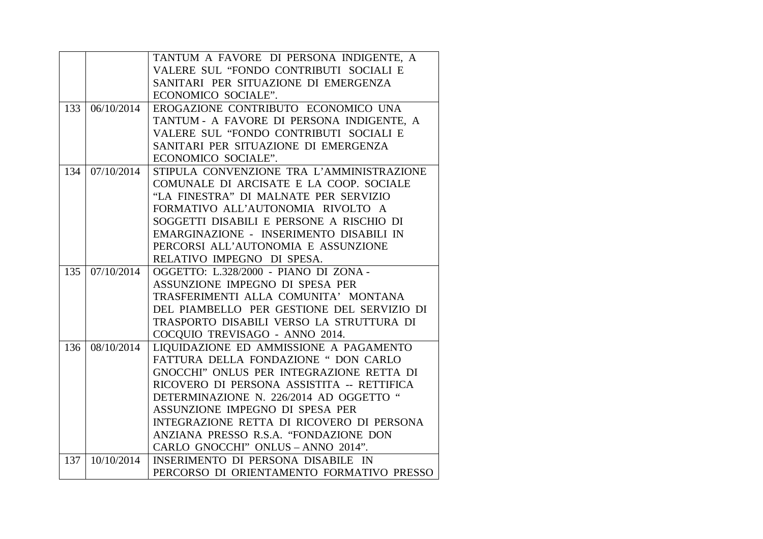|     |                     | TANTUM A FAVORE DI PERSONA INDIGENTE, A                                         |
|-----|---------------------|---------------------------------------------------------------------------------|
|     |                     | VALERE SUL "FONDO CONTRIBUTI SOCIALI E                                          |
|     |                     | SANITARI PER SITUAZIONE DI EMERGENZA                                            |
|     |                     | ECONOMICO SOCIALE".                                                             |
| 133 | 06/10/2014          | EROGAZIONE CONTRIBUTO ECONOMICO UNA                                             |
|     |                     | TANTUM - A FAVORE DI PERSONA INDIGENTE, A                                       |
|     |                     | VALERE SUL "FONDO CONTRIBUTI SOCIALI E                                          |
|     |                     | SANITARI PER SITUAZIONE DI EMERGENZA                                            |
|     |                     | ECONOMICO SOCIALE".                                                             |
| 134 | 07/10/2014          | STIPULA CONVENZIONE TRA L'AMMINISTRAZIONE                                       |
|     |                     | COMUNALE DI ARCISATE E LA COOP. SOCIALE                                         |
|     |                     | "LA FINESTRA" DI MALNATE PER SERVIZIO                                           |
|     |                     | FORMATIVO ALL'AUTONOMIA RIVOLTO A                                               |
|     |                     | SOGGETTI DISABILI E PERSONE A RISCHIO DI                                        |
|     |                     | EMARGINAZIONE - INSERIMENTO DISABILI IN                                         |
|     |                     | PERCORSI ALL'AUTONOMIA E ASSUNZIONE                                             |
|     |                     | RELATIVO IMPEGNO DI SPESA.                                                      |
|     |                     |                                                                                 |
| 135 | 07/10/2014          | OGGETTO: L.328/2000 - PIANO DI ZONA -                                           |
|     |                     | ASSUNZIONE IMPEGNO DI SPESA PER                                                 |
|     |                     | TRASFERIMENTI ALLA COMUNITA' MONTANA                                            |
|     |                     | DEL PIAMBELLO PER GESTIONE DEL SERVIZIO DI                                      |
|     |                     | TRASPORTO DISABILI VERSO LA STRUTTURA DI                                        |
|     |                     | COCQUIO TREVISAGO - ANNO 2014.                                                  |
| 136 | $\sqrt{08}/10/2014$ | LIQUIDAZIONE ED AMMISSIONE A PAGAMENTO                                          |
|     |                     | FATTURA DELLA FONDAZIONE " DON CARLO                                            |
|     |                     | GNOCCHI" ONLUS PER INTEGRAZIONE RETTA DI                                        |
|     |                     | RICOVERO DI PERSONA ASSISTITA -- RETTIFICA                                      |
|     |                     | DETERMINAZIONE N. 226/2014 AD OGGETTO "                                         |
|     |                     | ASSUNZIONE IMPEGNO DI SPESA PER                                                 |
|     |                     | INTEGRAZIONE RETTA DI RICOVERO DI PERSONA                                       |
|     |                     | ANZIANA PRESSO R.S.A. "FONDAZIONE DON                                           |
|     |                     | CARLO GNOCCHI" ONLUS - ANNO 2014".                                              |
| 137 | 10/10/2014          | INSERIMENTO DI PERSONA DISABILE IN<br>PERCORSO DI ORIENTAMENTO FORMATIVO PRESSO |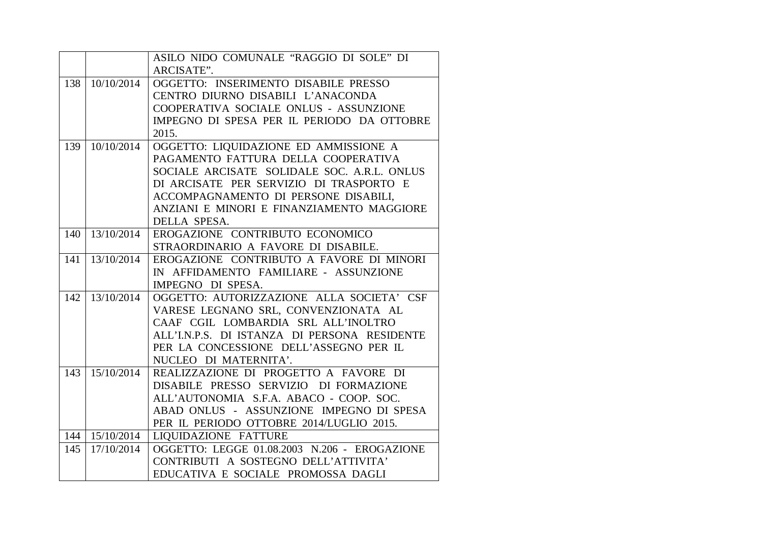|     |                  | ASILO NIDO COMUNALE "RAGGIO DI SOLE" DI      |
|-----|------------------|----------------------------------------------|
|     |                  | ARCISATE".                                   |
| 138 | 10/10/2014       | OGGETTO: INSERIMENTO DISABILE PRESSO         |
|     |                  | CENTRO DIURNO DISABILI L'ANACONDA            |
|     |                  | COOPERATIVA SOCIALE ONLUS - ASSUNZIONE       |
|     |                  | IMPEGNO DI SPESA PER IL PERIODO DA OTTOBRE   |
|     |                  | 2015.                                        |
| 139 | 10/10/2014       | OGGETTO: LIQUIDAZIONE ED AMMISSIONE A        |
|     |                  | PAGAMENTO FATTURA DELLA COOPERATIVA          |
|     |                  | SOCIALE ARCISATE SOLIDALE SOC. A.R.L. ONLUS  |
|     |                  | DI ARCISATE PER SERVIZIO DI TRASPORTO E      |
|     |                  | ACCOMPAGNAMENTO DI PERSONE DISABILI,         |
|     |                  | ANZIANI E MINORI E FINANZIAMENTO MAGGIORE    |
|     |                  | DELLA SPESA.                                 |
| 140 | 13/10/2014       | EROGAZIONE CONTRIBUTO ECONOMICO              |
|     |                  | STRAORDINARIO A FAVORE DI DISABILE.          |
| 141 | 13/10/2014       | EROGAZIONE CONTRIBUTO A FAVORE DI MINORI     |
|     |                  | IN AFFIDAMENTO FAMILIARE - ASSUNZIONE        |
|     |                  | IMPEGNO DI SPESA.                            |
| 142 | 13/10/2014       | OGGETTO: AUTORIZZAZIONE ALLA SOCIETA' CSF    |
|     |                  | VARESE LEGNANO SRL, CONVENZIONATA AL         |
|     |                  | CAAF CGIL LOMBARDIA SRL ALL'INOLTRO          |
|     |                  | ALL'I.N.P.S. DI ISTANZA DI PERSONA RESIDENTE |
|     |                  | PER LA CONCESSIONE DELL'ASSEGNO PER IL       |
|     |                  | NUCLEO DI MATERNITA'.                        |
| 143 | 15/10/2014       | REALIZZAZIONE DI PROGETTO A FAVORE DI        |
|     |                  | DISABILE PRESSO SERVIZIO DI FORMAZIONE       |
|     |                  | ALL'AUTONOMIA S.F.A. ABACO - COOP. SOC.      |
|     |                  | ABAD ONLUS - ASSUNZIONE IMPEGNO DI SPESA     |
|     |                  | PER IL PERIODO OTTOBRE 2014/LUGLIO 2015.     |
|     | 144   15/10/2014 | LIQUIDAZIONE FATTURE                         |
| 145 | 17/10/2014       | OGGETTO: LEGGE 01.08.2003 N.206 - EROGAZIONE |
|     |                  | CONTRIBUTI A SOSTEGNO DELL'ATTIVITA'         |
|     |                  | EDUCATIVA E SOCIALE PROMOSSA DAGLI           |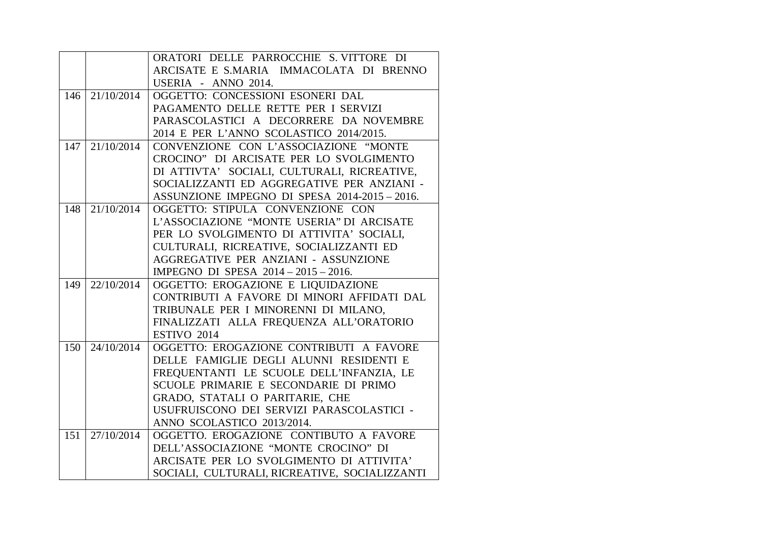|     |            | ORATORI DELLE PARROCCHIE S. VITTORE DI        |
|-----|------------|-----------------------------------------------|
|     |            | ARCISATE E S.MARIA IMMACOLATA DI BRENNO       |
|     |            | USERIA - ANNO 2014.                           |
| 146 | 21/10/2014 | OGGETTO: CONCESSIONI ESONERI DAL              |
|     |            | PAGAMENTO DELLE RETTE PER I SERVIZI           |
|     |            | PARASCOLASTICI A DECORRERE DA NOVEMBRE        |
|     |            | 2014 E PER L'ANNO SCOLASTICO 2014/2015.       |
| 147 | 21/10/2014 | CONVENZIONE CON L'ASSOCIAZIONE "MONTE         |
|     |            | CROCINO" DI ARCISATE PER LO SVOLGIMENTO       |
|     |            | DI ATTIVTA' SOCIALI, CULTURALI, RICREATIVE,   |
|     |            | SOCIALIZZANTI ED AGGREGATIVE PER ANZIANI -    |
|     |            | ASSUNZIONE IMPEGNO DI SPESA 2014-2015 - 2016. |
| 148 | 21/10/2014 | OGGETTO: STIPULA CONVENZIONE CON              |
|     |            | L'ASSOCIAZIONE "MONTE USERIA" DI ARCISATE     |
|     |            | PER LO SVOLGIMENTO DI ATTIVITA' SOCIALI,      |
|     |            | CULTURALI, RICREATIVE, SOCIALIZZANTI ED       |
|     |            | AGGREGATIVE PER ANZIANI - ASSUNZIONE          |
|     |            | IMPEGNO DI SPESA 2014 - 2015 - 2016.          |
| 149 | 22/10/2014 | OGGETTO: EROGAZIONE E LIQUIDAZIONE            |
|     |            | CONTRIBUTI A FAVORE DI MINORI AFFIDATI DAL    |
|     |            | TRIBUNALE PER I MINORENNI DI MILANO,          |
|     |            | FINALIZZATI ALLA FREQUENZA ALL'ORATORIO       |
|     |            | ESTIVO 2014                                   |
| 150 | 24/10/2014 | OGGETTO: EROGAZIONE CONTRIBUTI A FAVORE       |
|     |            | DELLE FAMIGLIE DEGLI ALUNNI RESIDENTI E       |
|     |            | FREQUENTANTI LE SCUOLE DELL'INFANZIA, LE      |
|     |            | SCUOLE PRIMARIE E SECONDARIE DI PRIMO         |
|     |            | GRADO, STATALI O PARITARIE, CHE               |
|     |            | USUFRUISCONO DEI SERVIZI PARASCOLASTICI -     |
|     |            | ANNO SCOLASTICO 2013/2014.                    |
| 151 | 27/10/2014 | OGGETTO. EROGAZIONE CONTIBUTO A FAVORE        |
|     |            | DELL'ASSOCIAZIONE "MONTE CROCINO" DI          |
|     |            | ARCISATE PER LO SVOLGIMENTO DI ATTIVITA'      |
|     |            | SOCIALI, CULTURALI, RICREATIVE, SOCIALIZZANTI |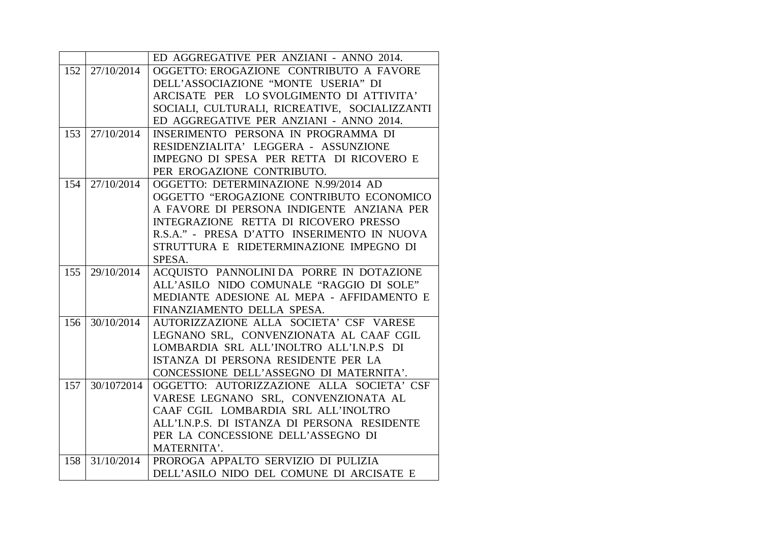|     |            | ED AGGREGATIVE PER ANZIANI - ANNO 2014.                                         |
|-----|------------|---------------------------------------------------------------------------------|
| 152 | 27/10/2014 | OGGETTO: EROGAZIONE CONTRIBUTO A FAVORE                                         |
|     |            | DELL'ASSOCIAZIONE "MONTE USERIA" DI                                             |
|     |            | ARCISATE PER LO SVOLGIMENTO DI ATTIVITA'                                        |
|     |            | SOCIALI, CULTURALI, RICREATIVE, SOCIALIZZANTI                                   |
|     |            | ED AGGREGATIVE PER ANZIANI - ANNO 2014.                                         |
| 153 | 27/10/2014 | INSERIMENTO PERSONA IN PROGRAMMA DI                                             |
|     |            | RESIDENZIALITA' LEGGERA - ASSUNZIONE                                            |
|     |            | IMPEGNO DI SPESA PER RETTA DI RICOVERO E                                        |
|     |            | PER EROGAZIONE CONTRIBUTO.                                                      |
| 154 | 27/10/2014 | OGGETTO: DETERMINAZIONE N.99/2014 AD                                            |
|     |            | OGGETTO "EROGAZIONE CONTRIBUTO ECONOMICO                                        |
|     |            | A FAVORE DI PERSONA INDIGENTE ANZIANA PER                                       |
|     |            | INTEGRAZIONE RETTA DI RICOVERO PRESSO                                           |
|     |            | R.S.A." - PRESA D'ATTO INSERIMENTO IN NUOVA                                     |
|     |            | STRUTTURA E RIDETERMINAZIONE IMPEGNO DI                                         |
|     |            | SPESA.                                                                          |
|     |            |                                                                                 |
| 155 | 29/10/2014 | ACQUISTO PANNOLINI DA PORRE IN DOTAZIONE                                        |
|     |            | ALL'ASILO NIDO COMUNALE "RAGGIO DI SOLE"                                        |
|     |            | MEDIANTE ADESIONE AL MEPA - AFFIDAMENTO E                                       |
|     |            | FINANZIAMENTO DELLA SPESA.                                                      |
| 156 | 30/10/2014 | AUTORIZZAZIONE ALLA SOCIETA' CSF VARESE                                         |
|     |            | LEGNANO SRL, CONVENZIONATA AL CAAF CGIL                                         |
|     |            | LOMBARDIA SRL ALL'INOLTRO ALL'I.N.P.S DI                                        |
|     |            | ISTANZA DI PERSONA RESIDENTE PER LA                                             |
|     |            | CONCESSIONE DELL'ASSEGNO DI MATERNITA'.                                         |
| 157 | 30/1072014 | OGGETTO: AUTORIZZAZIONE ALLA SOCIETA' CSF                                       |
|     |            | VARESE LEGNANO SRL, CONVENZIONATA AL                                            |
|     |            | CAAF CGIL LOMBARDIA SRL ALL'INOLTRO                                             |
|     |            | ALL'I.N.P.S. DI ISTANZA DI PERSONA RESIDENTE                                    |
|     |            | PER LA CONCESSIONE DELL'ASSEGNO DI                                              |
|     |            | MATERNITA'.                                                                     |
| 158 | 31/10/2014 | PROROGA APPALTO SERVIZIO DI PULIZIA<br>DELL'ASILO NIDO DEL COMUNE DI ARCISATE E |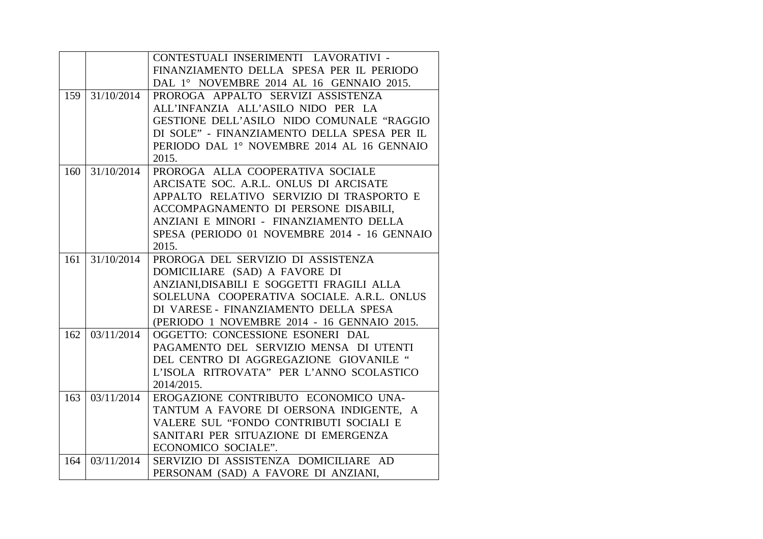|     |            | CONTESTUALI INSERIMENTI LAVORATIVI -         |
|-----|------------|----------------------------------------------|
|     |            | FINANZIAMENTO DELLA SPESA PER IL PERIODO     |
|     |            | DAL 1° NOVEMBRE 2014 AL 16 GENNAIO 2015.     |
| 159 | 31/10/2014 | PROROGA APPALTO SERVIZI ASSISTENZA           |
|     |            | ALL'INFANZIA ALL'ASILO NIDO PER LA           |
|     |            | GESTIONE DELL'ASILO NIDO COMUNALE "RAGGIO    |
|     |            | DI SOLE" - FINANZIAMENTO DELLA SPESA PER IL  |
|     |            | PERIODO DAL 1º NOVEMBRE 2014 AL 16 GENNAIO   |
|     |            | 2015.                                        |
| 160 | 31/10/2014 | PROROGA ALLA COOPERATIVA SOCIALE             |
|     |            | ARCISATE SOC. A.R.L. ONLUS DI ARCISATE       |
|     |            | APPALTO RELATIVO SERVIZIO DI TRASPORTO E     |
|     |            | ACCOMPAGNAMENTO DI PERSONE DISABILI,         |
|     |            | ANZIANI E MINORI - FINANZIAMENTO DELLA       |
|     |            | SPESA (PERIODO 01 NOVEMBRE 2014 - 16 GENNAIO |
|     |            | 2015.                                        |
| 161 | 31/10/2014 | PROROGA DEL SERVIZIO DI ASSISTENZA           |
|     |            | DOMICILIARE (SAD) A FAVORE DI                |
|     |            | ANZIANI, DISABILI E SOGGETTI FRAGILI ALLA    |
|     |            | SOLELUNA COOPERATIVA SOCIALE, A.R.L. ONLUS   |
|     |            | DI VARESE - FINANZIAMENTO DELLA SPESA        |
|     |            | (PERIODO 1 NOVEMBRE 2014 - 16 GENNAIO 2015.  |
| 162 | 03/11/2014 | OGGETTO: CONCESSIONE ESONERI DAL             |
|     |            | PAGAMENTO DEL SERVIZIO MENSA DI UTENTI       |
|     |            | DEL CENTRO DI AGGREGAZIONE GIOVANILE "       |
|     |            | L'ISOLA RITROVATA" PER L'ANNO SCOLASTICO     |
|     |            | 2014/2015.                                   |
| 163 | 03/11/2014 | EROGAZIONE CONTRIBUTO ECONOMICO UNA-         |
|     |            | TANTUM A FAVORE DI OERSONA INDIGENTE, A      |
|     |            | VALERE SUL "FONDO CONTRIBUTI SOCIALI E       |
|     |            | SANITARI PER SITUAZIONE DI EMERGENZA         |
|     |            | ECONOMICO SOCIALE".                          |
| 164 | 03/11/2014 | SERVIZIO DI ASSISTENZA DOMICILIARE AD        |
|     |            | PERSONAM (SAD) A FAVORE DI ANZIANI,          |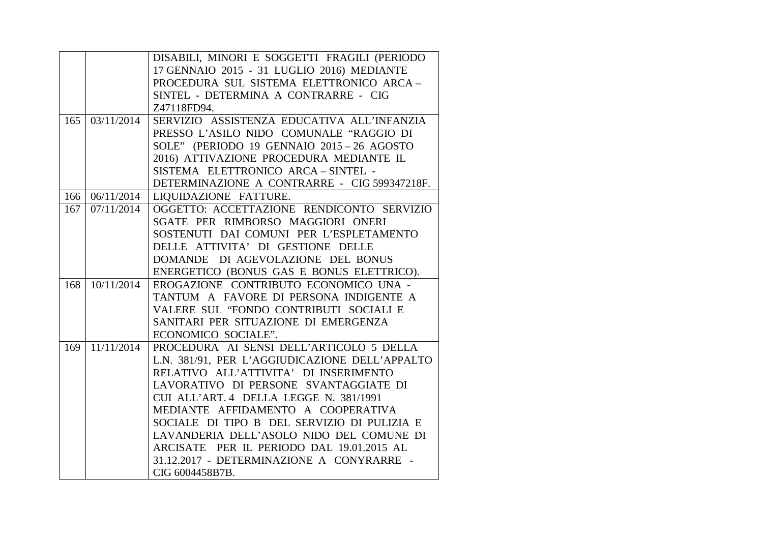|     |            | DISABILI, MINORI E SOGGETTI FRAGILI (PERIODO   |
|-----|------------|------------------------------------------------|
|     |            | 17 GENNAIO 2015 - 31 LUGLIO 2016) MEDIANTE     |
|     |            | PROCEDURA SUL SISTEMA ELETTRONICO ARCA-        |
|     |            | SINTEL - DETERMINA A CONTRARRE - CIG           |
|     |            | Z47118FD94.                                    |
| 165 | 03/11/2014 | SERVIZIO ASSISTENZA EDUCATIVA ALL'INFANZIA     |
|     |            | PRESSO L'ASILO NIDO COMUNALE "RAGGIO DI        |
|     |            | SOLE" (PERIODO 19 GENNAIO 2015-26 AGOSTO       |
|     |            | 2016) ATTIVAZIONE PROCEDURA MEDIANTE IL        |
|     |            | SISTEMA ELETTRONICO ARCA-SINTEL -              |
|     |            | DETERMINAZIONE A CONTRARRE - CIG 599347218F.   |
| 166 | 06/11/2014 | <b>LIQUIDAZIONE FATTURE.</b>                   |
| 167 | 07/11/2014 | OGGETTO: ACCETTAZIONE RENDICONTO SERVIZIO      |
|     |            | SGATE PER RIMBORSO MAGGIORI ONERI              |
|     |            | SOSTENUTI DAI COMUNI PER L'ESPLETAMENTO        |
|     |            | DELLE ATTIVITA' DI GESTIONE DELLE              |
|     |            | DOMANDE DI AGEVOLAZIONE DEL BONUS              |
|     |            | ENERGETICO (BONUS GAS E BONUS ELETTRICO).      |
| 168 | 10/11/2014 | EROGAZIONE CONTRIBUTO ECONOMICO UNA -          |
|     |            | TANTUM A FAVORE DI PERSONA INDIGENTE A         |
|     |            | VALERE SUL "FONDO CONTRIBUTI SOCIALI E         |
|     |            | SANITARI PER SITUAZIONE DI EMERGENZA           |
|     |            | ECONOMICO SOCIALE".                            |
| 169 | 11/11/2014 | PROCEDURA AI SENSI DELL'ARTICOLO 5 DELLA       |
|     |            | L.N. 381/91, PER L'AGGIUDICAZIONE DELL'APPALTO |
|     |            | RELATIVO ALL'ATTIVITA' DI INSERIMENTO          |
|     |            | LAVORATIVO DI PERSONE SVANTAGGIATE DI          |
|     |            | CUI ALL'ART. 4 DELLA LEGGE N. 381/1991         |
|     |            | MEDIANTE AFFIDAMENTO A COOPERATIVA             |
|     |            | SOCIALE DI TIPO B DEL SERVIZIO DI PULIZIA E    |
|     |            | LAVANDERIA DELL'ASOLO NIDO DEL COMUNE DI       |
|     |            | ARCISATE PER IL PERIODO DAL 19.01.2015 AL      |
|     |            | 31.12.2017 - DETERMINAZIONE A CONYRARRE -      |
|     |            | CIG 6004458B7B.                                |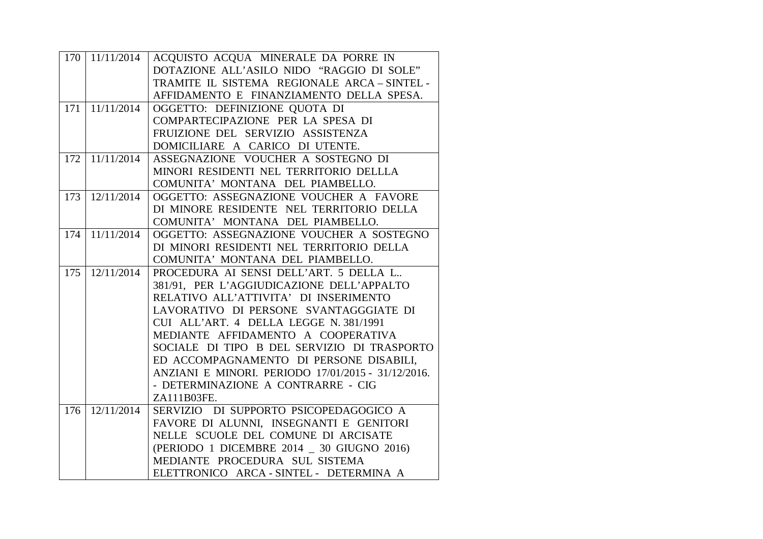| 170 | 11/11/2014 | ACQUISTO ACQUA MINERALE DA PORRE IN                |
|-----|------------|----------------------------------------------------|
|     |            | DOTAZIONE ALL'ASILO NIDO "RAGGIO DI SOLE"          |
|     |            | TRAMITE IL SISTEMA REGIONALE ARCA-SINTEL-          |
|     |            | AFFIDAMENTO E FINANZIAMENTO DELLA SPESA.           |
| 171 | 11/11/2014 | OGGETTO: DEFINIZIONE QUOTA DI                      |
|     |            | COMPARTECIPAZIONE PER LA SPESA DI                  |
|     |            | FRUIZIONE DEL SERVIZIO ASSISTENZA                  |
|     |            | DOMICILIARE A CARICO DI UTENTE.                    |
| 172 | 11/11/2014 | ASSEGNAZIONE VOUCHER A SOSTEGNO DI                 |
|     |            | MINORI RESIDENTI NEL TERRITORIO DELLLA             |
|     |            | COMUNITA' MONTANA DEL PIAMBELLO.                   |
| 173 | 12/11/2014 | OGGETTO: ASSEGNAZIONE VOUCHER A FAVORE             |
|     |            | DI MINORE RESIDENTE NEL TERRITORIO DELLA           |
|     |            | COMUNITA' MONTANA DEL PIAMBELLO.                   |
| 174 | 11/11/2014 | OGGETTO: ASSEGNAZIONE VOUCHER A SOSTEGNO           |
|     |            | DI MINORI RESIDENTI NEL TERRITORIO DELLA           |
|     |            | COMUNITA' MONTANA DEL PIAMBELLO.                   |
| 175 | 12/11/2014 | PROCEDURA AI SENSI DELL'ART. 5 DELLA L             |
|     |            | 381/91, PER L'AGGIUDICAZIONE DELL'APPALTO          |
|     |            | RELATIVO ALL'ATTIVITA' DI INSERIMENTO              |
|     |            | LAVORATIVO DI PERSONE SVANTAGGGIATE DI             |
|     |            | CUI ALL'ART. 4 DELLA LEGGE N. 381/1991             |
|     |            | MEDIANTE AFFIDAMENTO A COOPERATIVA                 |
|     |            | SOCIALE DI TIPO B DEL SERVIZIO DI TRASPORTO        |
|     |            | ED ACCOMPAGNAMENTO DI PERSONE DISABILI,            |
|     |            | ANZIANI E MINORI. PERIODO 17/01/2015 - 31/12/2016. |
|     |            | - DETERMINAZIONE A CONTRARRE - CIG                 |
|     |            | ZA111B03FE.                                        |
| 176 | 12/11/2014 | SERVIZIO DI SUPPORTO PSICOPEDAGOGICO A             |
|     |            | FAVORE DI ALUNNI, INSEGNANTI E GENITORI            |
|     |            | NELLE SCUOLE DEL COMUNE DI ARCISATE                |
|     |            | (PERIODO 1 DICEMBRE 2014 _ 30 GIUGNO 2016)         |
|     |            | MEDIANTE PROCEDURA SUL SISTEMA                     |
|     |            | ELETTRONICO ARCA - SINTEL - DETERMINA A            |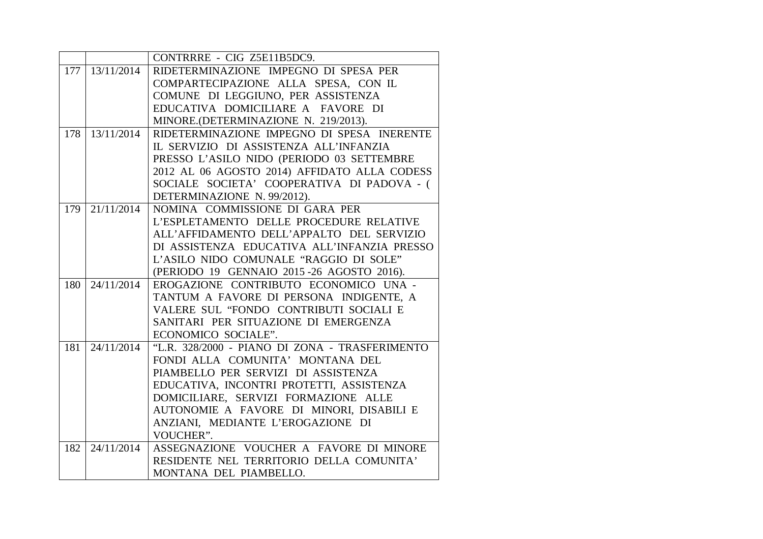|     |                       | CONTRRRE - CIG Z5E11B5DC9.                     |
|-----|-----------------------|------------------------------------------------|
|     | $177 \mid 13/11/2014$ | RIDETERMINAZIONE IMPEGNO DI SPESA PER          |
|     |                       | COMPARTECIPAZIONE ALLA SPESA, CON IL           |
|     |                       | COMUNE DI LEGGIUNO, PER ASSISTENZA             |
|     |                       | EDUCATIVA DOMICILIARE A FAVORE DI              |
|     |                       | MINORE.(DETERMINAZIONE N. 219/2013).           |
| 178 | 13/11/2014            | RIDETERMINAZIONE IMPEGNO DI SPESA INERENTE     |
|     |                       | IL SERVIZIO DI ASSISTENZA ALL'INFANZIA         |
|     |                       | PRESSO L'ASILO NIDO (PERIODO 03 SETTEMBRE      |
|     |                       | 2012 AL 06 AGOSTO 2014) AFFIDATO ALLA CODESS   |
|     |                       | SOCIALE SOCIETA' COOPERATIVA DI PADOVA - (     |
|     |                       | DETERMINAZIONE N. 99/2012).                    |
| 179 | 21/11/2014            | NOMINA COMMISSIONE DI GARA PER                 |
|     |                       | L'ESPLETAMENTO DELLE PROCEDURE RELATIVE        |
|     |                       | ALL'AFFIDAMENTO DELL'APPALTO DEL SERVIZIO      |
|     |                       | DI ASSISTENZA EDUCATIVA ALL'INFANZIA PRESSO    |
|     |                       | L'ASILO NIDO COMUNALE "RAGGIO DI SOLE"         |
|     |                       | (PERIODO 19 GENNAIO 2015 - 26 AGOSTO 2016).    |
| 180 | 24/11/2014            | EROGAZIONE CONTRIBUTO ECONOMICO UNA -          |
|     |                       | TANTUM A FAVORE DI PERSONA INDIGENTE, A        |
|     |                       | VALERE SUL "FONDO CONTRIBUTI SOCIALI E         |
|     |                       | SANITARI PER SITUAZIONE DI EMERGENZA           |
|     |                       | ECONOMICO SOCIALE".                            |
| 181 | 24/11/2014            | "L.R. 328/2000 - PIANO DI ZONA - TRASFERIMENTO |
|     |                       | FONDI ALLA COMUNITA' MONTANA DEL               |
|     |                       | PIAMBELLO PER SERVIZI DI ASSISTENZA            |
|     |                       | EDUCATIVA, INCONTRI PROTETTI, ASSISTENZA       |
|     |                       | DOMICILIARE, SERVIZI FORMAZIONE ALLE           |
|     |                       | AUTONOMIE A FAVORE DI MINORI, DISABILI E       |
|     |                       | ANZIANI, MEDIANTE L'EROGAZIONE DI              |
|     |                       | VOUCHER".                                      |
| 182 | 24/11/2014            | ASSEGNAZIONE VOUCHER A FAVORE DI MINORE        |
|     |                       | RESIDENTE NEL TERRITORIO DELLA COMUNITA'       |
|     |                       | MONTANA DEL PIAMBELLO.                         |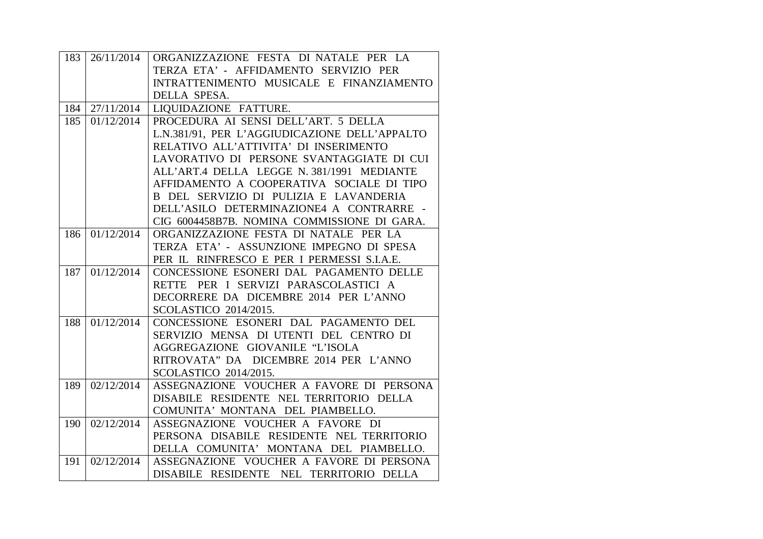| 183 | 26/11/2014 | ORGANIZZAZIONE FESTA DI NATALE PER LA                                               |
|-----|------------|-------------------------------------------------------------------------------------|
|     |            | TERZA ETA' - AFFIDAMENTO SERVIZIO PER                                               |
|     |            | INTRATTENIMENTO MUSICALE E FINANZIAMENTO                                            |
|     |            | DELLA SPESA.                                                                        |
| 184 | 27/11/2014 | LIQUIDAZIONE FATTURE.                                                               |
| 185 | 01/12/2014 | PROCEDURA AI SENSI DELL'ART. 5 DELLA                                                |
|     |            | L.N.381/91, PER L'AGGIUDICAZIONE DELL'APPALTO                                       |
|     |            | RELATIVO ALL'ATTIVITA' DI INSERIMENTO                                               |
|     |            | LAVORATIVO DI PERSONE SVANTAGGIATE DI CUI                                           |
|     |            | ALL'ART.4 DELLA LEGGE N. 381/1991 MEDIANTE                                          |
|     |            | AFFIDAMENTO A COOPERATIVA SOCIALE DI TIPO                                           |
|     |            | B DEL SERVIZIO DI PULIZIA E LAVANDERIA                                              |
|     |            | DELL'ASILO DETERMINAZIONE4 A CONTRARRE -                                            |
|     |            | CIG 6004458B7B. NOMINA COMMISSIONE DI GARA.                                         |
| 186 | 01/12/2014 | ORGANIZZAZIONE FESTA DI NATALE PER LA                                               |
|     |            | TERZA ETA' - ASSUNZIONE IMPEGNO DI SPESA                                            |
|     |            | PER IL RINFRESCO E PER I PERMESSI S.I.A.E.                                          |
| 187 | 01/12/2014 | CONCESSIONE ESONERI DAL PAGAMENTO DELLE                                             |
|     |            | RETTE PER I SERVIZI PARASCOLASTICI A                                                |
|     |            | DECORRERE DA DICEMBRE 2014 PER L'ANNO                                               |
|     |            |                                                                                     |
|     |            | SCOLASTICO 2014/2015.                                                               |
| 188 | 01/12/2014 | CONCESSIONE ESONERI DAL PAGAMENTO DEL                                               |
|     |            | SERVIZIO MENSA DI UTENTI DEL CENTRO DI                                              |
|     |            | AGGREGAZIONE GIOVANILE "L'ISOLA                                                     |
|     |            | RITROVATA" DA DICEMBRE 2014 PER L'ANNO                                              |
|     |            | SCOLASTICO 2014/2015.                                                               |
| 189 | 02/12/2014 | ASSEGNAZIONE VOUCHER A FAVORE DI PERSONA                                            |
|     |            | DISABILE RESIDENTE NEL TERRITORIO DELLA                                             |
|     |            | COMUNITA' MONTANA DEL PIAMBELLO.                                                    |
| 190 | 02/12/2014 | ASSEGNAZIONE VOUCHER A FAVORE DI                                                    |
|     |            | PERSONA DISABILE RESIDENTE NEL TERRITORIO                                           |
|     |            | DELLA COMUNITA' MONTANA DEL PIAMBELLO.                                              |
| 191 | 02/12/2014 | ASSEGNAZIONE VOUCHER A FAVORE DI PERSONA<br>DISABILE RESIDENTE NEL TERRITORIO DELLA |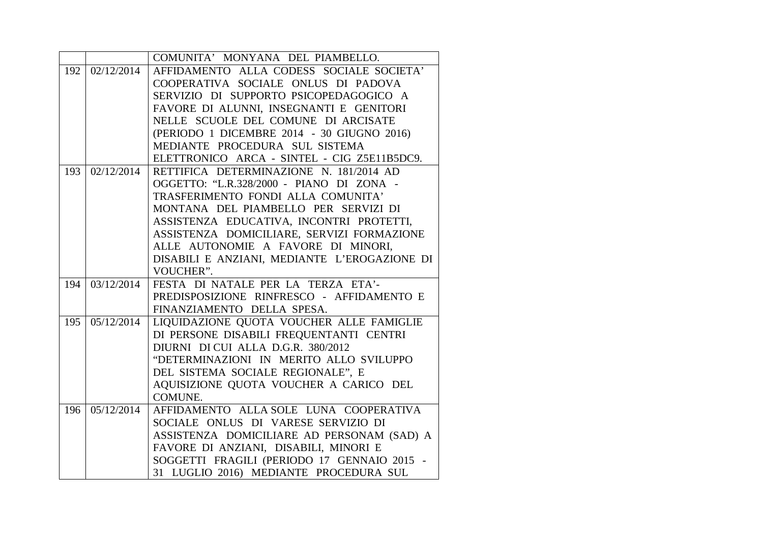|     |            | COMUNITA' MONYANA DEL PIAMBELLO.             |
|-----|------------|----------------------------------------------|
| 192 | 02/12/2014 | AFFIDAMENTO ALLA CODESS SOCIALE SOCIETA'     |
|     |            | COOPERATIVA SOCIALE ONLUS DI PADOVA          |
|     |            | SERVIZIO DI SUPPORTO PSICOPEDAGOGICO A       |
|     |            | FAVORE DI ALUNNI, INSEGNANTI E GENITORI      |
|     |            | NELLE SCUOLE DEL COMUNE DI ARCISATE          |
|     |            | (PERIODO 1 DICEMBRE 2014 - 30 GIUGNO 2016)   |
|     |            | MEDIANTE PROCEDURA SUL SISTEMA               |
|     |            | ELETTRONICO ARCA - SINTEL - CIG Z5E11B5DC9.  |
| 193 | 02/12/2014 | RETTIFICA DETERMINAZIONE N. 181/2014 AD      |
|     |            | OGGETTO: "L.R.328/2000 - PIANO DI ZONA -     |
|     |            | TRASFERIMENTO FONDI ALLA COMUNITA'           |
|     |            | MONTANA DEL PIAMBELLO PER SERVIZI DI         |
|     |            | ASSISTENZA EDUCATIVA, INCONTRI PROTETTI,     |
|     |            | ASSISTENZA DOMICILIARE, SERVIZI FORMAZIONE   |
|     |            | ALLE AUTONOMIE A FAVORE DI MINORI,           |
|     |            | DISABILI E ANZIANI, MEDIANTE L'EROGAZIONE DI |
|     |            | VOUCHER".                                    |
| 194 | 03/12/2014 | FESTA DI NATALE PER LA TERZA ETA'-           |
|     |            | PREDISPOSIZIONE RINFRESCO - AFFIDAMENTO E    |
|     |            | FINANZIAMENTO DELLA SPESA.                   |
| 195 | 05/12/2014 | LIQUIDAZIONE QUOTA VOUCHER ALLE FAMIGLIE     |
|     |            | DI PERSONE DISABILI FREQUENTANTI CENTRI      |
|     |            | DIURNI DI CUI ALLA D.G.R. 380/2012           |
|     |            | "DETERMINAZIONI IN MERITO ALLO SVILUPPO      |
|     |            | DEL SISTEMA SOCIALE REGIONALE", E            |
|     |            | AQUISIZIONE QUOTA VOUCHER A CARICO DEL       |
|     |            | COMUNE.                                      |
| 196 | 05/12/2014 | AFFIDAMENTO ALLA SOLE LUNA COOPERATIVA       |
|     |            | SOCIALE ONLUS DI VARESE SERVIZIO DI          |
|     |            | ASSISTENZA DOMICILIARE AD PERSONAM (SAD) A   |
|     |            | FAVORE DI ANZIANI, DISABILI, MINORI E        |
|     |            | SOGGETTI FRAGILI (PERIODO 17 GENNAIO 2015 -  |
|     |            | 31 LUGLIO 2016) MEDIANTE PROCEDURA SUL       |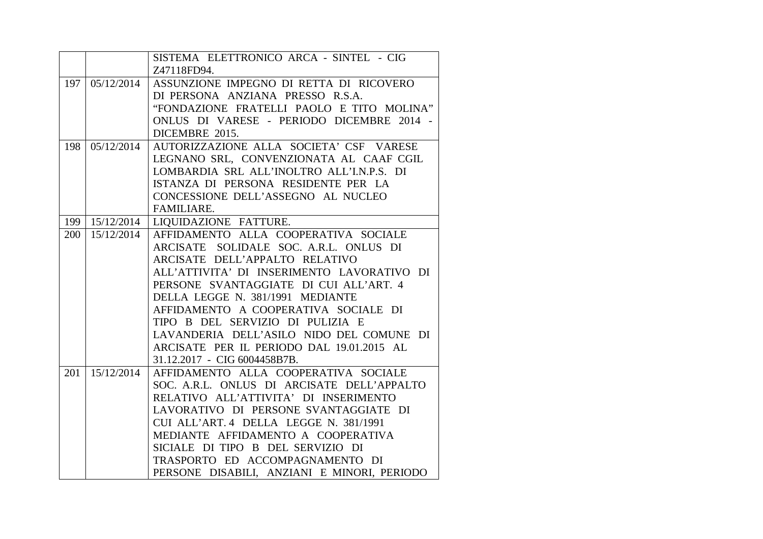|     |            | SISTEMA ELETTRONICO ARCA - SINTEL - CIG     |
|-----|------------|---------------------------------------------|
|     |            | Z47118FD94.                                 |
| 197 | 05/12/2014 | ASSUNZIONE IMPEGNO DI RETTA DI RICOVERO     |
|     |            | DI PERSONA ANZIANA PRESSO R.S.A.            |
|     |            | "FONDAZIONE FRATELLI PAOLO E TITO MOLINA"   |
|     |            | ONLUS DI VARESE - PERIODO DICEMBRE 2014 -   |
|     |            | DICEMBRE 2015.                              |
| 198 | 05/12/2014 | AUTORIZZAZIONE ALLA SOCIETA' CSF VARESE     |
|     |            | LEGNANO SRL, CONVENZIONATA AL CAAF CGIL     |
|     |            | LOMBARDIA SRL ALL'INOLTRO ALL'I.N.P.S. DI   |
|     |            | ISTANZA DI PERSONA RESIDENTE PER LA         |
|     |            | CONCESSIONE DELL'ASSEGNO AL NUCLEO          |
|     |            | FAMILIARE.                                  |
| 199 | 15/12/2014 | LIQUIDAZIONE FATTURE.                       |
| 200 | 15/12/2014 | AFFIDAMENTO ALLA COOPERATIVA SOCIALE        |
|     |            | ARCISATE SOLIDALE SOC. A.R.L. ONLUS DI      |
|     |            | ARCISATE DELL'APPALTO RELATIVO              |
|     |            | ALL'ATTIVITA' DI INSERIMENTO LAVORATIVO DI  |
|     |            | PERSONE SVANTAGGIATE DI CUI ALL'ART. 4      |
|     |            | DELLA LEGGE N. 381/1991 MEDIANTE            |
|     |            | AFFIDAMENTO A COOPERATIVA SOCIALE DI        |
|     |            | TIPO B DEL SERVIZIO DI PULIZIA E            |
|     |            | LAVANDERIA DELL'ASILO NIDO DEL COMUNE DI    |
|     |            | ARCISATE PER IL PERIODO DAL 19.01.2015 AL   |
|     |            | 31.12.2017 - CIG 6004458B7B.                |
| 201 | 15/12/2014 | AFFIDAMENTO ALLA COOPERATIVA SOCIALE        |
|     |            | SOC. A.R.L. ONLUS DI ARCISATE DELL'APPALTO  |
|     |            | RELATIVO ALL'ATTIVITA' DI INSERIMENTO       |
|     |            | LAVORATIVO DI PERSONE SVANTAGGIATE DI       |
|     |            | CUI ALL'ART. 4 DELLA LEGGE N. 381/1991      |
|     |            | MEDIANTE AFFIDAMENTO A COOPERATIVA          |
|     |            | SICIALE DI TIPO B DEL SERVIZIO DI           |
|     |            | TRASPORTO ED ACCOMPAGNAMENTO DI             |
|     |            | PERSONE DISABILI, ANZIANI E MINORI, PERIODO |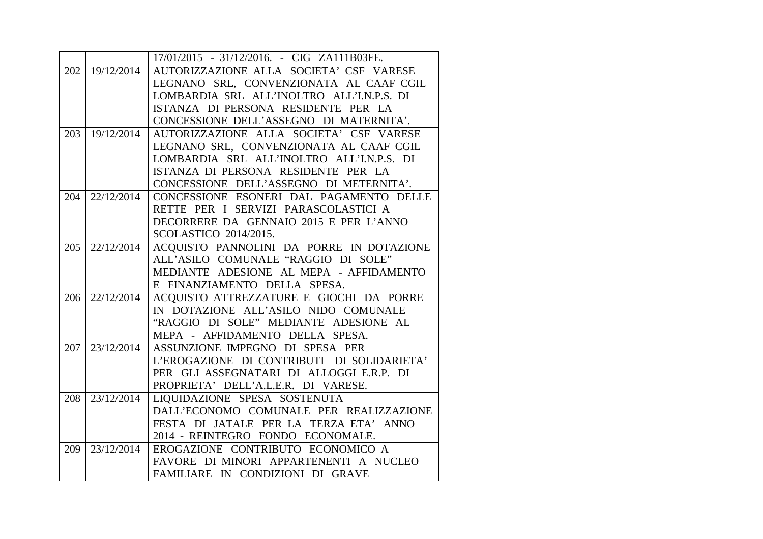|     |            | 17/01/2015 - 31/12/2016. - CIG ZA111B03FE. |
|-----|------------|--------------------------------------------|
| 202 | 19/12/2014 | AUTORIZZAZIONE ALLA SOCIETA' CSF VARESE    |
|     |            | LEGNANO SRL, CONVENZIONATA AL CAAF CGIL    |
|     |            | LOMBARDIA SRL ALL'INOLTRO ALL'I.N.P.S. DI  |
|     |            | ISTANZA DI PERSONA RESIDENTE PER LA        |
|     |            | CONCESSIONE DELL'ASSEGNO DI MATERNITA'.    |
| 203 | 19/12/2014 | AUTORIZZAZIONE ALLA SOCIETA' CSF VARESE    |
|     |            | LEGNANO SRL, CONVENZIONATA AL CAAF CGIL    |
|     |            | LOMBARDIA SRL ALL'INOLTRO ALL'I.N.P.S. DI  |
|     |            | ISTANZA DI PERSONA RESIDENTE PER LA        |
|     |            | CONCESSIONE DELL'ASSEGNO DI METERNITA'.    |
| 204 | 22/12/2014 | CONCESSIONE ESONERI DAL PAGAMENTO DELLE    |
|     |            | RETTE PER I SERVIZI PARASCOLASTICI A       |
|     |            | DECORRERE DA GENNAIO 2015 E PER L'ANNO     |
|     |            | SCOLASTICO 2014/2015.                      |
| 205 | 22/12/2014 | ACQUISTO PANNOLINI DA PORRE IN DOTAZIONE   |
|     |            | ALL'ASILO COMUNALE "RAGGIO DI SOLE"        |
|     |            | MEDIANTE ADESIONE AL MEPA - AFFIDAMENTO    |
|     |            | E FINANZIAMENTO DELLA SPESA.               |
| 206 | 22/12/2014 | ACQUISTO ATTREZZATURE E GIOCHI DA PORRE    |
|     |            | IN DOTAZIONE ALL'ASILO NIDO COMUNALE       |
|     |            | "RAGGIO DI SOLE" MEDIANTE ADESIONE AL      |
|     |            | MEPA - AFFIDAMENTO DELLA SPESA.            |
| 207 | 23/12/2014 | ASSUNZIONE IMPEGNO DI SPESA PER            |
|     |            | L'EROGAZIONE DI CONTRIBUTI DI SOLIDARIETA' |
|     |            | PER GLI ASSEGNATARI DI ALLOGGI E.R.P. DI   |
|     |            | PROPRIETA' DELL'A.L.E.R. DI VARESE.        |
| 208 | 23/12/2014 | LIQUIDAZIONE SPESA SOSTENUTA               |
|     |            | DALL'ECONOMO COMUNALE PER REALIZZAZIONE    |
|     |            | FESTA DI JATALE PER LA TERZA ETA' ANNO     |
|     |            | 2014 - REINTEGRO FONDO ECONOMALE.          |
| 209 | 23/12/2014 | EROGAZIONE CONTRIBUTO ECONOMICO A          |
|     |            | FAVORE DI MINORI APPARTENENTI A NUCLEO     |
|     |            | FAMILIARE IN CONDIZIONI DI GRAVE           |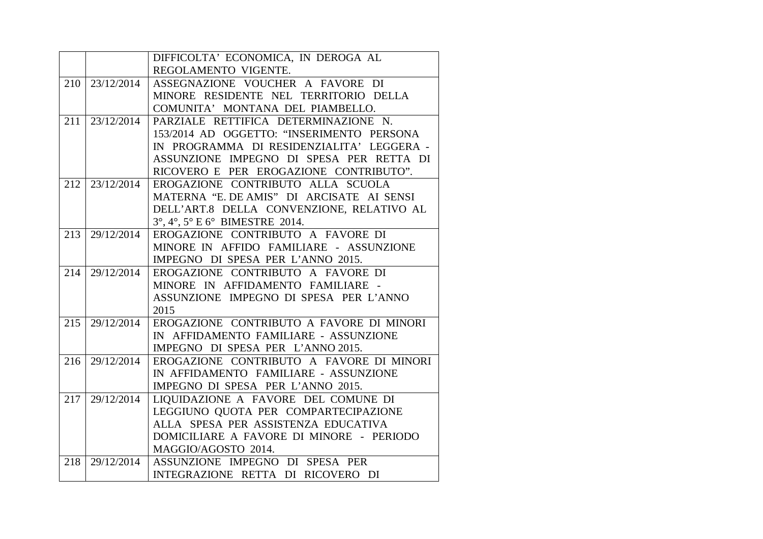|     |            | DIFFICOLTA' ECONOMICA, IN DEROGA AL                                  |
|-----|------------|----------------------------------------------------------------------|
|     |            | REGOLAMENTO VIGENTE.                                                 |
| 210 | 23/12/2014 | ASSEGNAZIONE VOUCHER A FAVORE DI                                     |
|     |            | MINORE RESIDENTE NEL TERRITORIO DELLA                                |
|     |            | COMUNITA' MONTANA DEL PIAMBELLO.                                     |
| 211 | 23/12/2014 | PARZIALE RETTIFICA DETERMINAZIONE N.                                 |
|     |            | 153/2014 AD OGGETTO: "INSERIMENTO PERSONA                            |
|     |            | IN PROGRAMMA DI RESIDENZIALITA' LEGGERA -                            |
|     |            | ASSUNZIONE IMPEGNO DI SPESA PER RETTA DI                             |
|     |            | RICOVERO E PER EROGAZIONE CONTRIBUTO".                               |
| 212 | 23/12/2014 | EROGAZIONE CONTRIBUTO ALLA SCUOLA                                    |
|     |            | MATERNA "E. DE AMIS" DI ARCISATE AI SENSI                            |
|     |            | DELL'ART.8 DELLA CONVENZIONE, RELATIVO AL                            |
|     |            | $3^{\circ}$ , $4^{\circ}$ , $5^{\circ}$ E $6^{\circ}$ BIMESTRE 2014. |
| 213 | 29/12/2014 | EROGAZIONE CONTRIBUTO A FAVORE DI                                    |
|     |            | MINORE IN AFFIDO FAMILIARE - ASSUNZIONE                              |
|     |            | IMPEGNO DI SPESA PER L'ANNO 2015.                                    |
| 214 | 29/12/2014 | EROGAZIONE CONTRIBUTO A FAVORE DI                                    |
|     |            | MINORE IN AFFIDAMENTO FAMILIARE -                                    |
|     |            | ASSUNZIONE IMPEGNO DI SPESA PER L'ANNO                               |
|     |            | 2015                                                                 |
| 215 | 29/12/2014 | EROGAZIONE CONTRIBUTO A FAVORE DI MINORI                             |
|     |            | IN AFFIDAMENTO FAMILIARE - ASSUNZIONE                                |
|     |            | IMPEGNO DI SPESA PER L'ANNO 2015.                                    |
| 216 | 29/12/2014 | EROGAZIONE CONTRIBUTO A FAVORE DI MINORI                             |
|     |            | IN AFFIDAMENTO FAMILIARE - ASSUNZIONE                                |
|     |            | IMPEGNO DI SPESA PER L'ANNO 2015.                                    |
| 217 | 29/12/2014 | LIQUIDAZIONE A FAVORE DEL COMUNE DI                                  |
|     |            | LEGGIUNO QUOTA PER COMPARTECIPAZIONE                                 |
|     |            | ALLA SPESA PER ASSISTENZA EDUCATIVA                                  |
|     |            | DOMICILIARE A FAVORE DI MINORE - PERIODO                             |
|     |            | MAGGIO/AGOSTO 2014.                                                  |
| 218 | 29/12/2014 | ASSUNZIONE IMPEGNO DI SPESA PER                                      |
|     |            | INTEGRAZIONE RETTA DI RICOVERO DI                                    |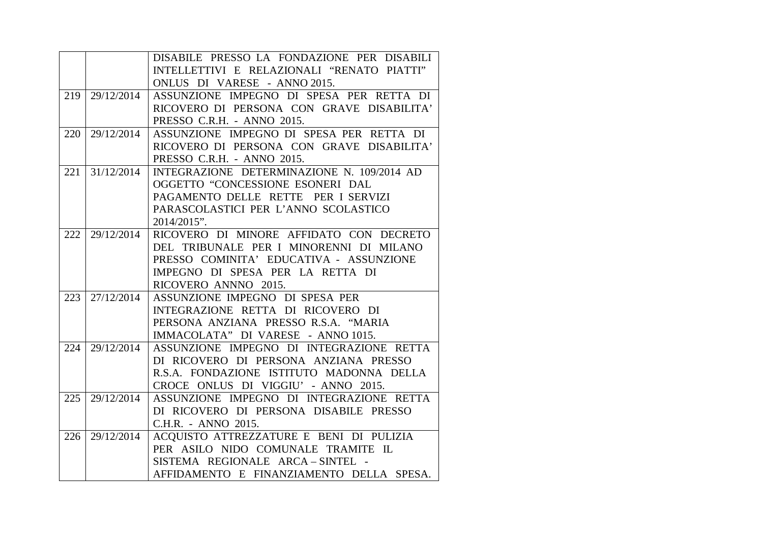|     |            | DISABILE PRESSO LA FONDAZIONE PER DISABILI |
|-----|------------|--------------------------------------------|
|     |            | INTELLETTIVI E RELAZIONALI "RENATO PIATTI" |
|     |            | ONLUS DI VARESE - ANNO 2015.               |
| 219 | 29/12/2014 | ASSUNZIONE IMPEGNO DI SPESA PER RETTA DI   |
|     |            | RICOVERO DI PERSONA CON GRAVE DISABILITA'  |
|     |            | PRESSO C.R.H. - ANNO 2015.                 |
| 220 | 29/12/2014 | ASSUNZIONE IMPEGNO DI SPESA PER RETTA DI   |
|     |            | RICOVERO DI PERSONA CON GRAVE DISABILITA'  |
|     |            | PRESSO C.R.H. - ANNO 2015.                 |
| 221 | 31/12/2014 | INTEGRAZIONE DETERMINAZIONE N. 109/2014 AD |
|     |            | OGGETTO "CONCESSIONE ESONERI DAL           |
|     |            | PAGAMENTO DELLE RETTE PER I SERVIZI        |
|     |            | PARASCOLASTICI PER L'ANNO SCOLASTICO       |
|     |            | 2014/2015".                                |
| 222 | 29/12/2014 | RICOVERO DI MINORE AFFIDATO CON DECRETO    |
|     |            | DEL TRIBUNALE PER I MINORENNI DI MILANO    |
|     |            | PRESSO COMINITA' EDUCATIVA - ASSUNZIONE    |
|     |            | IMPEGNO DI SPESA PER LA RETTA DI           |
|     |            | RICOVERO ANNNO 2015.                       |
| 223 | 27/12/2014 | ASSUNZIONE IMPEGNO DI SPESA PER            |
|     |            | INTEGRAZIONE RETTA DI RICOVERO DI          |
|     |            | PERSONA ANZIANA PRESSO R.S.A. "MARIA       |
|     |            | IMMACOLATA" DI VARESE - ANNO 1015.         |
| 224 | 29/12/2014 | ASSUNZIONE IMPEGNO DI INTEGRAZIONE RETTA   |
|     |            | DI RICOVERO DI PERSONA ANZIANA PRESSO      |
|     |            | R.S.A. FONDAZIONE ISTITUTO MADONNA DELLA   |
|     |            | CROCE ONLUS DI VIGGIU' - ANNO 2015.        |
| 225 | 29/12/2014 | ASSUNZIONE IMPEGNO DI INTEGRAZIONE RETTA   |
|     |            | DI RICOVERO DI PERSONA DISABILE PRESSO     |
|     |            | C.H.R. - ANNO 2015.                        |
| 226 | 29/12/2014 | ACQUISTO ATTREZZATURE E BENI DI PULIZIA    |
|     |            | PER ASILO NIDO COMUNALE TRAMITE IL         |
|     |            | SISTEMA REGIONALE ARCA-SINTEL -            |
|     |            | AFFIDAMENTO E FINANZIAMENTO DELLA SPESA.   |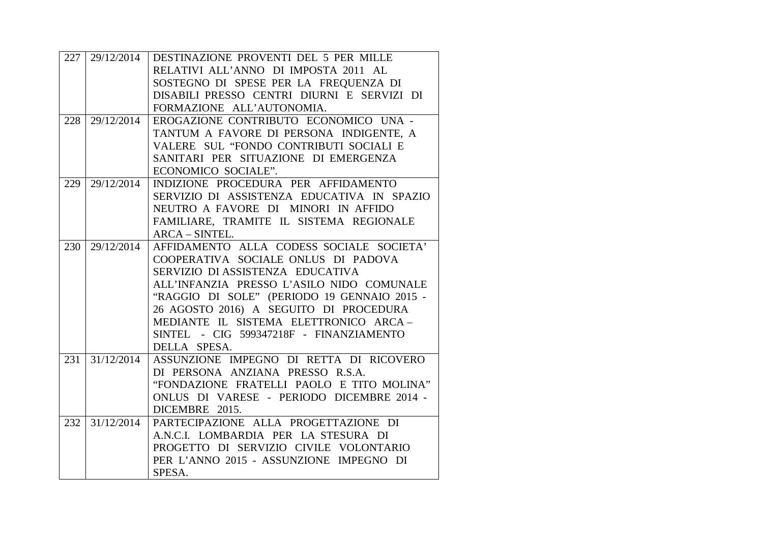|     | 227 29/12/2014 | DESTINAZIONE PROVENTI DEL 5 PER MILLE       |
|-----|----------------|---------------------------------------------|
|     |                | RELATIVI ALL'ANNO DI IMPOSTA 2011 AL        |
|     |                | SOSTEGNO DI SPESE PER LA FREQUENZA DI       |
|     |                | DISABILI PRESSO CENTRI DIURNI E SERVIZI DI  |
|     |                | FORMAZIONE ALL'AUTONOMIA.                   |
| 228 | 29/12/2014     | EROGAZIONE CONTRIBUTO ECONOMICO UNA -       |
|     |                | TANTUM A FAVORE DI PERSONA INDIGENTE, A     |
|     |                | VALERE SUL "FONDO CONTRIBUTI SOCIALI E      |
|     |                | SANITARI PER SITUAZIONE DI EMERGENZA        |
|     |                | ECONOMICO SOCIALE".                         |
| 229 | 29/12/2014     | INDIZIONE PROCEDURA PER AFFIDAMENTO         |
|     |                | SERVIZIO DI ASSISTENZA EDUCATIVA IN SPAZIO  |
|     |                | NEUTRO A FAVORE DI MINORI IN AFFIDO         |
|     |                | FAMILIARE, TRAMITE IL SISTEMA REGIONALE     |
|     |                | ARCA - SINTEL.                              |
| 230 | 29/12/2014     | AFFIDAMENTO ALLA CODESS SOCIALE SOCIETA'    |
|     |                | COOPERATIVA SOCIALE ONLUS DI PADOVA         |
|     |                | SERVIZIO DI ASSISTENZA EDUCATIVA            |
|     |                | ALL'INFANZIA PRESSO L'ASILO NIDO COMUNALE   |
|     |                | "RAGGIO DI SOLE" (PERIODO 19 GENNAIO 2015 - |
|     |                | 26 AGOSTO 2016) A SEGUITO DI PROCEDURA      |
|     |                | MEDIANTE IL SISTEMA ELETTRONICO ARCA-       |
|     |                | SINTEL - CIG 599347218F - FINANZIAMENTO     |
|     |                | DELLA SPESA.                                |
| 231 | 31/12/2014     | ASSUNZIONE IMPEGNO DI RETTA DI RICOVERO     |
|     |                | DI PERSONA ANZIANA PRESSO R.S.A.            |
|     |                | "FONDAZIONE FRATELLI PAOLO E TITO MOLINA"   |
|     |                | ONLUS DI VARESE - PERIODO DICEMBRE 2014 -   |
|     |                | DICEMBRE 2015.                              |
| 232 | 31/12/2014     | PARTECIPAZIONE ALLA PROGETTAZIONE DI        |
|     |                | A.N.C.I. LOMBARDIA PER LA STESURA DI        |
|     |                | PROGETTO DI SERVIZIO CIVILE VOLONTARIO      |
|     |                | PER L'ANNO 2015 - ASSUNZIONE IMPEGNO DI     |
|     |                | SPESA.                                      |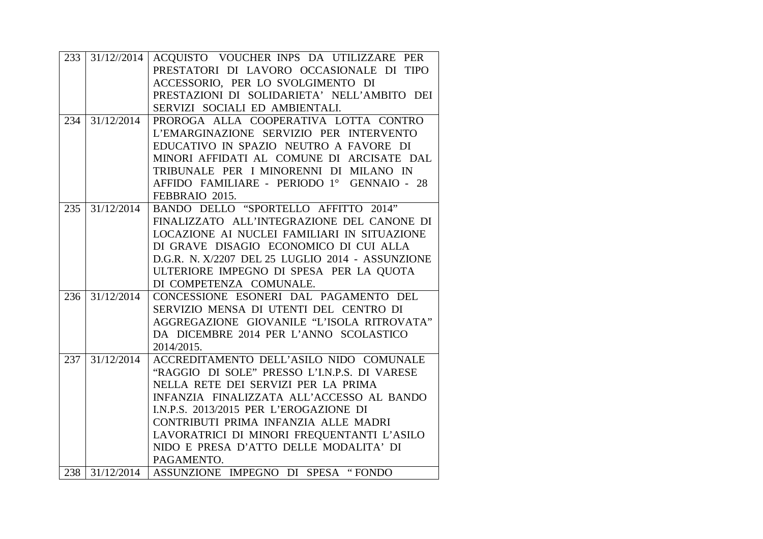| 233 |            | 31/12//2014 ACQUISTO VOUCHER INPS DA UTILIZZARE PER |
|-----|------------|-----------------------------------------------------|
|     |            | PRESTATORI DI LAVORO OCCASIONALE DI TIPO            |
|     |            | ACCESSORIO, PER LO SVOLGIMENTO DI                   |
|     |            | PRESTAZIONI DI SOLIDARIETA' NELL'AMBITO DEI         |
|     |            | SERVIZI SOCIALI ED AMBIENTALI.                      |
| 234 | 31/12/2014 | PROROGA ALLA COOPERATIVA LOTTA CONTRO               |
|     |            | L'EMARGINAZIONE SERVIZIO PER INTERVENTO             |
|     |            | EDUCATIVO IN SPAZIO NEUTRO A FAVORE DI              |
|     |            | MINORI AFFIDATI AL COMUNE DI ARCISATE DAL           |
|     |            | TRIBUNALE PER I MINORENNI DI MILANO IN              |
|     |            | AFFIDO FAMILIARE - PERIODO 1º GENNAIO - 28          |
|     |            | FEBBRAIO 2015.                                      |
| 235 | 31/12/2014 | BANDO DELLO "SPORTELLO AFFITTO 2014"                |
|     |            | FINALIZZATO ALL'INTEGRAZIONE DEL CANONE DI          |
|     |            | LOCAZIONE AI NUCLEI FAMILIARI IN SITUAZIONE         |
|     |            | DI GRAVE DISAGIO ECONOMICO DI CUI ALLA              |
|     |            | D.G.R. N. X/2207 DEL 25 LUGLIO 2014 - ASSUNZIONE    |
|     |            | ULTERIORE IMPEGNO DI SPESA PER LA QUOTA             |
|     |            | DI COMPETENZA COMUNALE.                             |
| 236 | 31/12/2014 | CONCESSIONE ESONERI DAL PAGAMENTO DEL               |
|     |            | SERVIZIO MENSA DI UTENTI DEL CENTRO DI              |
|     |            | AGGREGAZIONE GIOVANILE "L'ISOLA RITROVATA"          |
|     |            | DA DICEMBRE 2014 PER L'ANNO SCOLASTICO              |
|     |            | 2014/2015.                                          |
| 237 | 31/12/2014 | ACCREDITAMENTO DELL'ASILO NIDO COMUNALE             |
|     |            | "RAGGIO DI SOLE" PRESSO L'I.N.P.S. DI VARESE        |
|     |            | NELLA RETE DEI SERVIZI PER LA PRIMA                 |
|     |            | INFANZIA FINALIZZATA ALL'ACCESSO AL BANDO           |
|     |            | I.N.P.S. 2013/2015 PER L'EROGAZIONE DI              |
|     |            | CONTRIBUTI PRIMA INFANZIA ALLE MADRI                |
|     |            | LAVORATRICI DI MINORI FREQUENTANTI L'ASILO          |
|     |            | NIDO E PRESA D'ATTO DELLE MODALITA' DI              |
|     |            | PAGAMENTO.                                          |
|     |            | 238 31/12/2014   ASSUNZIONE IMPEGNO DI SPESA "FONDO |